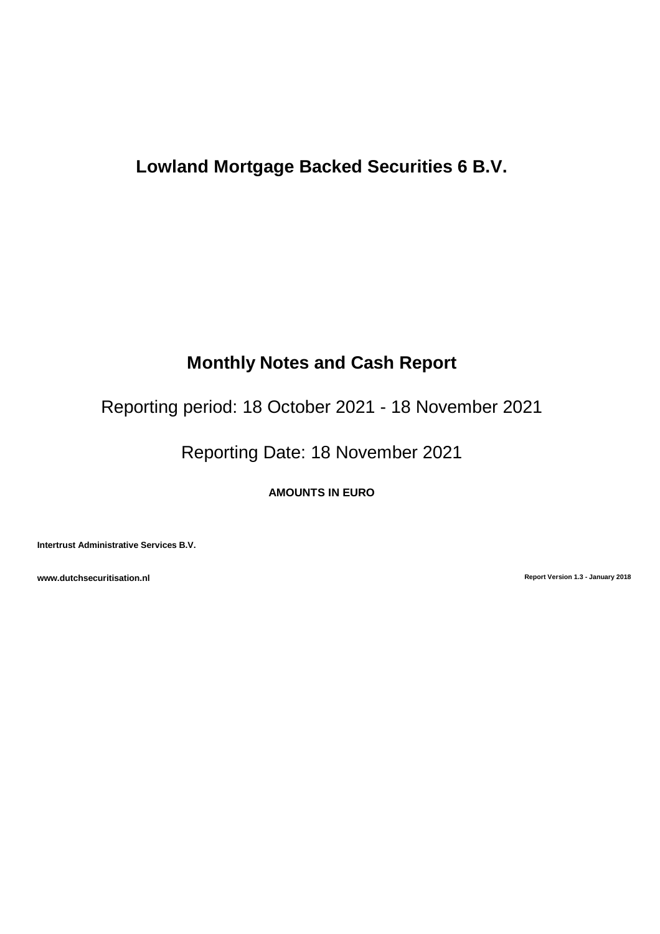# **Lowland Mortgage Backed Securities 6 B.V.**

# **Monthly Notes and Cash Report**

Reporting period: 18 October 2021 - 18 November 2021

Reporting Date: 18 November 2021

**AMOUNTS IN EURO**

**Intertrust Administrative Services B.V.**

**www.dutchsecuritisation.nl Report Version 1.3 - January 2018**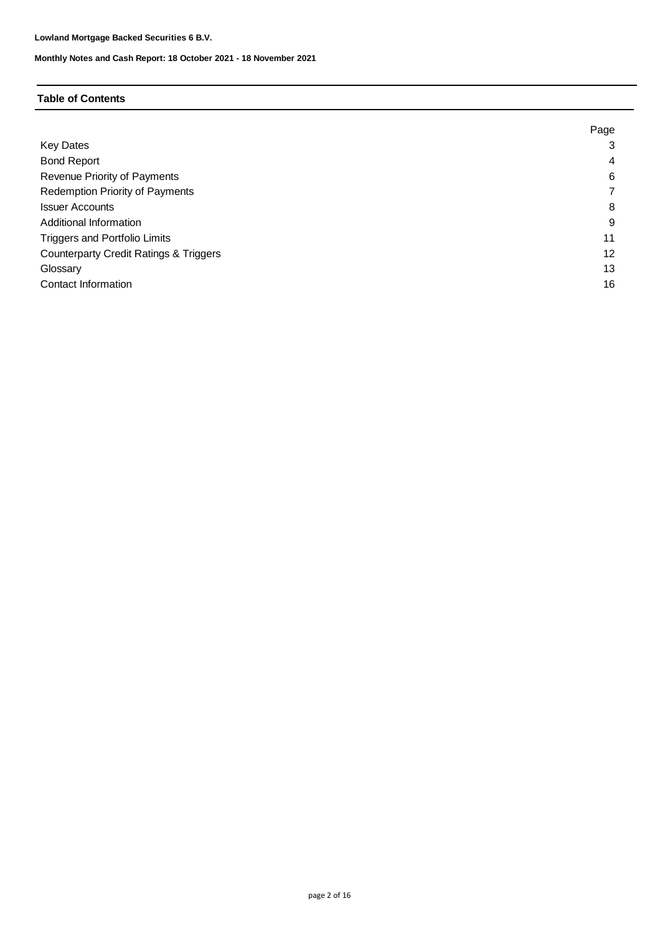## **Table of Contents**

|                                                   | Page |
|---------------------------------------------------|------|
| Key Dates                                         | 3    |
| <b>Bond Report</b>                                | 4    |
| Revenue Priority of Payments                      | 6    |
| Redemption Priority of Payments                   |      |
| <b>Issuer Accounts</b>                            | 8    |
| Additional Information                            | 9    |
| <b>Triggers and Portfolio Limits</b>              | 11   |
| <b>Counterparty Credit Ratings &amp; Triggers</b> | 12   |
| Glossary                                          | 13   |
| Contact Information                               | 16   |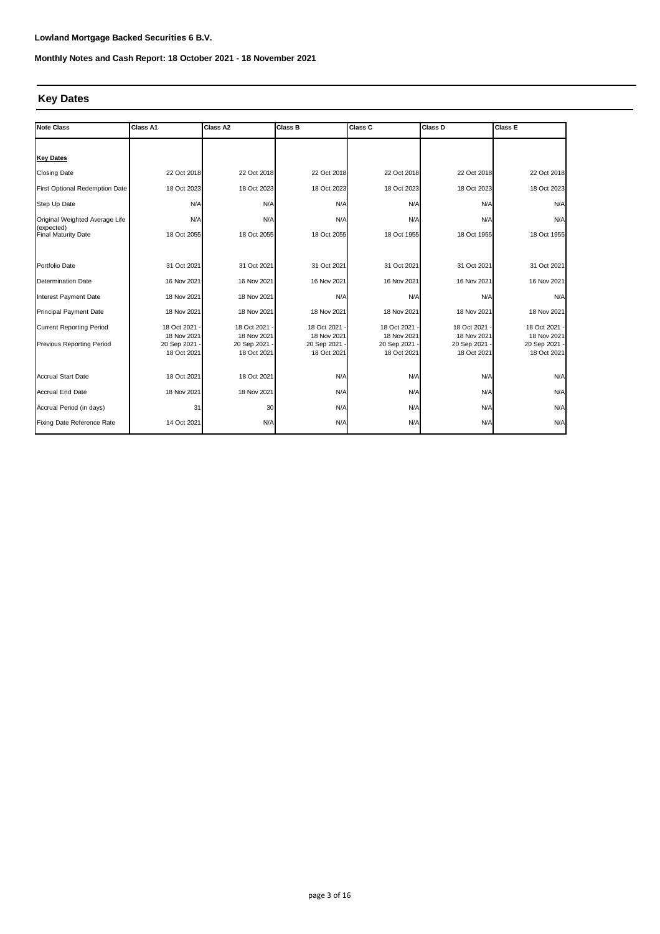# **Key Dates**

| <b>Note Class</b>                        | Class A1                   | Class A2                   | Class B                      | Class C                    | Class D                      |                              |
|------------------------------------------|----------------------------|----------------------------|------------------------------|----------------------------|------------------------------|------------------------------|
|                                          |                            |                            |                              |                            |                              |                              |
| <b>Key Dates</b>                         |                            |                            |                              |                            |                              |                              |
| <b>Closing Date</b>                      | 22 Oct 2018                | 22 Oct 2018                | 22 Oct 2018                  | 22 Oct 2018                | 22 Oct 2018                  | 22 Oct 2018                  |
| First Optional Redemption Date           | 18 Oct 2023                | 18 Oct 2023                | 18 Oct 2023                  | 18 Oct 2023                | 18 Oct 2023                  | 18 Oct 2023                  |
| Step Up Date                             | N/A                        | N/A                        | N/A                          | N/A                        | N/A                          | N/A                          |
| Original Weighted Average Life           | N/A                        | N/A                        | N/A                          | N/A                        | N/A                          | N/A                          |
| (expected)<br><b>Final Maturity Date</b> | 18 Oct 2055                | 18 Oct 2055                | 18 Oct 2055                  | 18 Oct 1955                | 18 Oct 1955                  | 18 Oct 1955                  |
|                                          |                            |                            |                              |                            |                              |                              |
| Portfolio Date                           | 31 Oct 2021                | 31 Oct 2021                | 31 Oct 2021                  | 31 Oct 2021                | 31 Oct 2021                  | 31 Oct 2021                  |
| <b>Determination Date</b>                | 16 Nov 2021                | 16 Nov 2021                | 16 Nov 2021                  | 16 Nov 2021                | 16 Nov 2021                  | 16 Nov 2021                  |
| Interest Payment Date                    | 18 Nov 2021                | 18 Nov 2021                | N/A                          | N/A                        | N/A                          | N/A                          |
| Principal Payment Date                   | 18 Nov 2021                | 18 Nov 2021                | 18 Nov 2021                  | 18 Nov 2021                | 18 Nov 2021                  | 18 Nov 2021                  |
| <b>Current Reporting Period</b>          | 18 Oct 2021                | 18 Oct 2021                | 18 Oct 2021 -                | 18 Oct 2021                | 18 Oct 2021                  | 18 Oct 2021 -                |
| Previous Reporting Period                | 18 Nov 2021<br>20 Sep 2021 | 18 Nov 2021<br>20 Sep 2021 | 18 Nov 2021<br>20 Sep 2021 - | 18 Nov 2021<br>20 Sep 2021 | 18 Nov 2021<br>20 Sep 2021 - | 18 Nov 2021<br>20 Sep 2021 - |
|                                          | 18 Oct 2021                | 18 Oct 2021                | 18 Oct 2021                  | 18 Oct 2021                | 18 Oct 2021                  | 18 Oct 2021                  |
|                                          |                            |                            |                              |                            |                              |                              |
| <b>Accrual Start Date</b>                | 18 Oct 2021                | 18 Oct 2021                | N/A                          | N/A                        | N/A                          | N/A                          |
| <b>Accrual End Date</b>                  | 18 Nov 2021                | 18 Nov 2021                | N/A                          | N/A                        | N/A                          | N/A                          |
| Accrual Period (in days)                 | 31                         | 30                         | N/A                          | N/A                        | N/A                          | N/A                          |
| Fixing Date Reference Rate               | 14 Oct 2021                | N/A                        | N/A                          | N/A                        | N/A                          | N/A                          |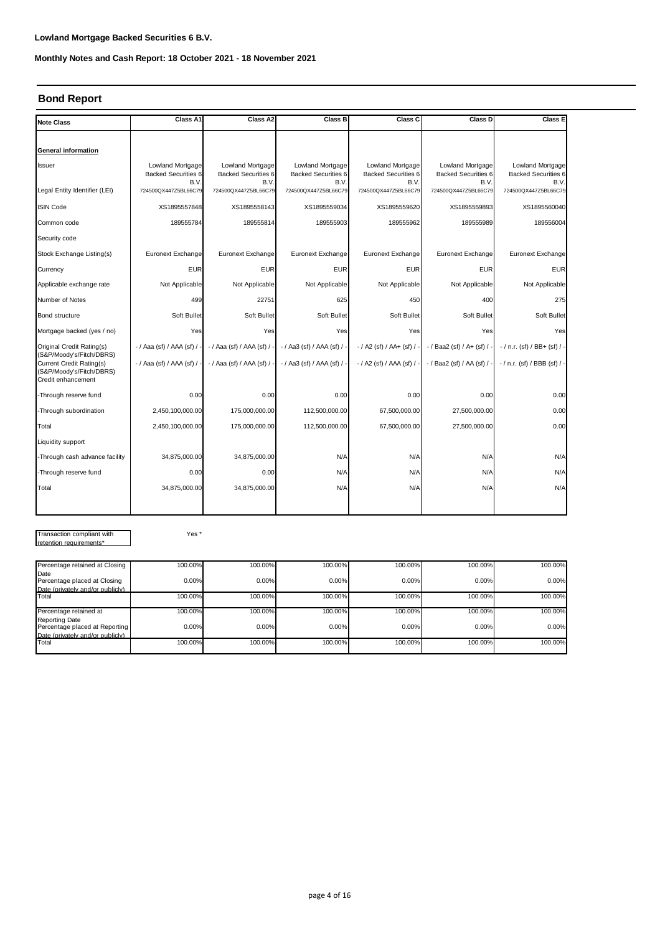# **Bond Report**

| <b>Note Class</b>                                                                                             | Class A1                                               | Class A2                                                      | Class B                                                | Class C                                                | Class D                                                       | <b>Class E</b>                                         |
|---------------------------------------------------------------------------------------------------------------|--------------------------------------------------------|---------------------------------------------------------------|--------------------------------------------------------|--------------------------------------------------------|---------------------------------------------------------------|--------------------------------------------------------|
|                                                                                                               |                                                        |                                                               |                                                        |                                                        |                                                               |                                                        |
| General information                                                                                           |                                                        |                                                               |                                                        |                                                        |                                                               |                                                        |
| Issuer                                                                                                        | Lowland Mortgage<br><b>Backed Securities 6</b><br>B.V. | <b>Lowland Mortgage</b><br><b>Backed Securities 6</b><br>B.V. | Lowland Mortgage<br><b>Backed Securities 6</b><br>B.V. | Lowland Mortgage<br><b>Backed Securities 6</b><br>B.V. | <b>Lowland Mortgage</b><br><b>Backed Securities 6</b><br>B.V. | Lowland Mortgage<br><b>Backed Securities 6</b><br>B.V. |
| Legal Entity Identifier (LEI)                                                                                 | 724500QX447Z5BL66C79                                   | 724500QX447Z5BL66C79                                          | 724500QX447Z5BL66C79                                   | 724500QX447Z5BL66C79                                   | 724500QX447Z5BL66C79                                          | 724500QX447Z5BL66C79                                   |
| <b>ISIN Code</b>                                                                                              | XS1895557848                                           | XS1895558143                                                  | XS1895559034                                           | XS1895559620                                           | XS1895559893                                                  | XS1895560040                                           |
| Common code                                                                                                   | 189555784                                              | 189555814                                                     | 189555903                                              | 189555962                                              | 189555989                                                     | 189556004                                              |
| Security code                                                                                                 |                                                        |                                                               |                                                        |                                                        |                                                               |                                                        |
| Stock Exchange Listing(s)                                                                                     | Euronext Exchange                                      | Euronext Exchange                                             | Euronext Exchange                                      | Euronext Exchange                                      | Euronext Exchange                                             | Euronext Exchange                                      |
| Currency                                                                                                      | <b>EUR</b>                                             | <b>EUR</b>                                                    | <b>EUR</b>                                             | <b>EUR</b>                                             | <b>EUR</b>                                                    | <b>EUR</b>                                             |
| Applicable exchange rate                                                                                      | Not Applicable                                         | Not Applicable                                                | Not Applicable                                         | Not Applicable                                         | Not Applicable                                                | Not Applicable                                         |
| Number of Notes                                                                                               | 499                                                    | 22751                                                         | 625                                                    | 450                                                    | 400                                                           | 275                                                    |
| Bond structure                                                                                                | Soft Bullet                                            | Soft Bullet                                                   | Soft Bullet                                            | Soft Bullet                                            | Soft Bullet                                                   | Soft Bullet                                            |
| Mortgage backed (yes / no)                                                                                    | Yes                                                    | Yes                                                           | Yes                                                    | Yes                                                    | Yes                                                           | Yes                                                    |
| Original Credit Rating(s)                                                                                     | - / Aaa (sf) / AAA (sf) / -                            | -/ Aaa (sf) / AAA (sf) / -                                    | - / Aa3 (sf) / AAA (sf) / -                            | $-$ / A2 (sf) / AA+ (sf) / -                           | $-$ / Baa2 (sf) / A+ (sf) / -                                 | $-$ / n.r. (sf) / BB+ (sf) / -                         |
| (S&P/Moody's/Fitch/DBRS)<br><b>Current Credit Rating(s)</b><br>(S&P/Moody's/Fitch/DBRS)<br>Credit enhancement | - / Aaa (sf) / AAA (sf) /                              | $-$ / Aaa (sf) / AAA (sf) /                                   | - / Aa3 (sf) / AAA (sf) / -                            | $-$ / A2 (sf) / AAA (sf) / -                           | - / Baa2 (sf) / AA (sf) / -                                   | - / n.r. (sf) / BBB (sf) / -                           |
| -Through reserve fund                                                                                         | 0.00                                                   | 0.00                                                          | 0.00                                                   | 0.00                                                   | 0.00                                                          | 0.00                                                   |
| -Through subordination                                                                                        | 2,450,100,000.00                                       | 175,000,000.00                                                | 112,500,000.00                                         | 67,500,000.00                                          | 27,500,000.00                                                 | 0.00                                                   |
| Total                                                                                                         | 2,450,100,000.00                                       | 175,000,000.00                                                | 112,500,000.00                                         | 67,500,000.00                                          | 27,500,000.00                                                 | 0.00                                                   |
| Liquidity support                                                                                             |                                                        |                                                               |                                                        |                                                        |                                                               |                                                        |
| -Through cash advance facility                                                                                | 34,875,000.00                                          | 34,875,000.00                                                 | N/A                                                    | N/A                                                    | N/A                                                           | N/A                                                    |
| -Through reserve fund                                                                                         | 0.00                                                   | 0.00                                                          | N/A                                                    | N/A                                                    | N/A                                                           | N/A                                                    |
| Total                                                                                                         | 34,875,000.00                                          | 34,875,000.00                                                 | N/A                                                    | N/A                                                    | N/A                                                           | N/A                                                    |
|                                                                                                               |                                                        |                                                               |                                                        |                                                        |                                                               |                                                        |

Transaction compliant with retention requirements\*

Yes \*

| Percentage retained at Closing                          | 100.00% | 100.00% | 100.00% | 100.00% | 100.00% | 100.00% |
|---------------------------------------------------------|---------|---------|---------|---------|---------|---------|
| Date                                                    |         |         |         |         |         |         |
| Percentage placed at Closing                            | 0.00%   | 0.00%   | 0.00%   | 0.00%   | 0.00%   | 0.00%   |
| Date (privately and/or publicly)                        |         |         |         |         |         |         |
| Total                                                   | 100.00% | 100.00% | 100.00% | 100.00% | 100.00% | 100.00% |
| Percentage retained at                                  | 100.00% | 100.00% | 100.00% | 100.00% | 100.00% | 100.00% |
| <b>Reporting Date</b><br>Percentage placed at Reporting | 0.00%   | 0.00%   | 0.00%   | 0.00%   | 0.00%   | 0.00%   |
| Date (privately and/or publicly)                        |         |         |         |         |         |         |
| Total                                                   | 100.00% | 100.00% | 100.00% | 100.00% | 100.00% | 100.00% |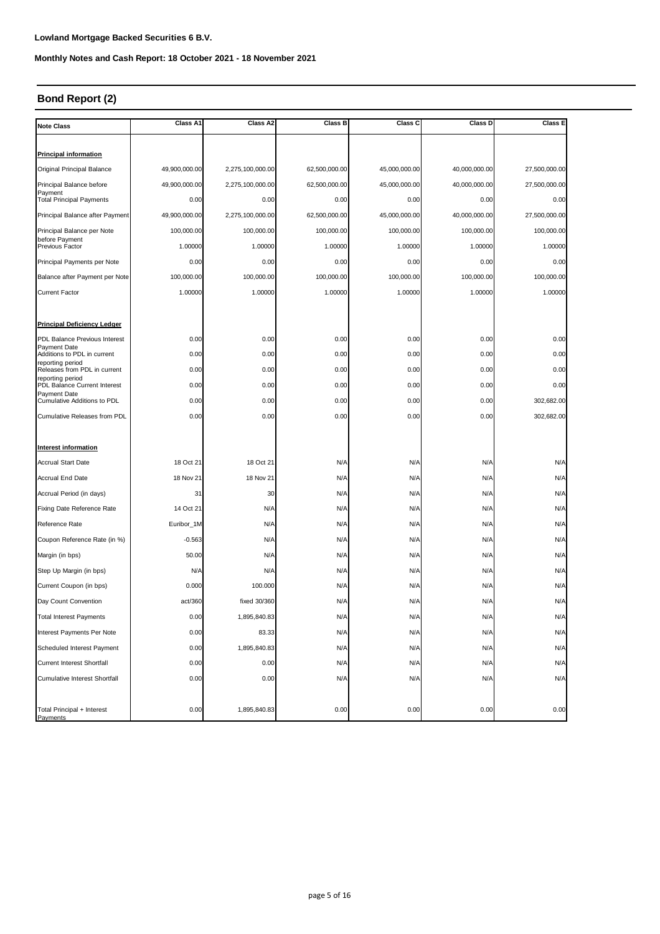# **Bond Report (2)**

| <b>Note Class</b>                                  | Class A1      | Class A2         | Class B       | Class C       | Class D       | Class E       |
|----------------------------------------------------|---------------|------------------|---------------|---------------|---------------|---------------|
|                                                    |               |                  |               |               |               |               |
| <b>Principal information</b>                       |               |                  |               |               |               |               |
| Original Principal Balance                         | 49,900,000.00 | 2,275,100,000.00 | 62,500,000.00 | 45,000,000.00 | 40,000,000.00 | 27,500,000.00 |
| Principal Balance before                           | 49,900,000.00 | 2,275,100,000.00 | 62,500,000.00 | 45,000,000.00 | 40,000,000.00 | 27,500,000.00 |
| Payment<br><b>Total Principal Payments</b>         | 0.00          | 0.00             | 0.00          | 0.00          | 0.00          | 0.00          |
| Principal Balance after Payment                    | 49,900,000.00 | 2,275,100,000.00 | 62,500,000.00 | 45,000,000.00 | 40,000,000.00 | 27,500,000.00 |
| Principal Balance per Note                         | 100,000.00    | 100,000.00       | 100,000.00    | 100,000.00    | 100,000.00    | 100,000.00    |
| before Payment<br>Previous Factor                  | 1.00000       | 1.00000          | 1.00000       | 1.00000       | 1.00000       | 1.00000       |
| Principal Payments per Note                        | 0.00          | 0.00             | 0.00          | 0.00          | 0.00          | 0.00          |
| Balance after Payment per Note                     | 100,000.00    | 100,000.00       | 100,000.00    | 100,000.00    | 100,000.00    | 100,000.00    |
| <b>Current Factor</b>                              | 1.00000       | 1.00000          | 1.00000       | 1.00000       | 1.00000       | 1.00000       |
|                                                    |               |                  |               |               |               |               |
| <b>Principal Deficiency Ledger</b>                 |               |                  |               |               |               |               |
| PDL Balance Previous Interest                      | 0.00          | 0.00             | 0.00          | 0.00          | 0.00          | 0.00          |
| <b>Payment Date</b><br>Additions to PDL in current | 0.00          | 0.00             | 0.00          | 0.00          | 0.00          | 0.00          |
| reporting period<br>Releases from PDL in current   | 0.00          | 0.00             | 0.00          | 0.00          | 0.00          | 0.00          |
| reporting period<br>PDL Balance Current Interest   | 0.00          | 0.00             | 0.00          | 0.00          | 0.00          | 0.00          |
| <b>Payment Date</b><br>Cumulative Additions to PDL | 0.00          | 0.00             | 0.00          | 0.00          | 0.00          | 302,682.00    |
| <b>Cumulative Releases from PDL</b>                | 0.00          | 0.00             | 0.00          | 0.00          | 0.00          | 302,682.00    |
|                                                    |               |                  |               |               |               |               |
| <b>Interest information</b>                        |               |                  |               |               |               |               |
| <b>Accrual Start Date</b>                          | 18 Oct 21     | 18 Oct 21        | N/A           | N/A           | N/A           | N/A           |
| <b>Accrual End Date</b>                            | 18 Nov 21     | 18 Nov 21        | N/A           | N/A           | N/A           | N/A           |
| Accrual Period (in days)                           | 31            | 30               | N/A           | N/A           | N/A           | N/A           |
| Fixing Date Reference Rate                         | 14 Oct 21     | N/A              | N/A           | N/A           | N/A           | N/A           |
| Reference Rate                                     | Euribor_1M    | N/A              | N/A           | N/A           | N/A           | N/A           |
| Coupon Reference Rate (in %)                       | $-0.563$      | N/A              | N/A           | N/A           | N/A           | N/A           |
| Margin (in bps)                                    | 50.00         | N/A              | N/A           | N/A           | N/A           | N/A           |
| Step Up Margin (in bps)                            | N/A           | N/A              | N/A           | N/A           | N/A           | N/A           |
| Current Coupon (in bps)                            | 0.000         | 100.000          | N/A           | N/A           | N/A           | N/A           |
| Day Count Convention                               | act/360       | fixed 30/360     | N/A           | N/A           | N/A           | N/A           |
| <b>Total Interest Payments</b>                     | 0.00          | 1,895,840.83     | N/A           | N/A           | N/A           | N/A           |
| Interest Payments Per Note                         | 0.00          | 83.33            | N/A           | N/A           | N/A           | N/A           |
| Scheduled Interest Payment                         | 0.00          | 1,895,840.83     | N/A           | N/A           | N/A           | N/A           |
| Current Interest Shortfall                         | 0.00          | 0.00             | N/A           | N/A           | N/A           | N/A           |
| <b>Cumulative Interest Shortfall</b>               | 0.00          | 0.00             | N/A           | N/A           | N/A           | N/A           |
|                                                    |               |                  |               |               |               |               |
| Total Principal + Interest<br>Payments             | 0.00          | 1,895,840.83     | 0.00          | 0.00          | 0.00          | 0.00          |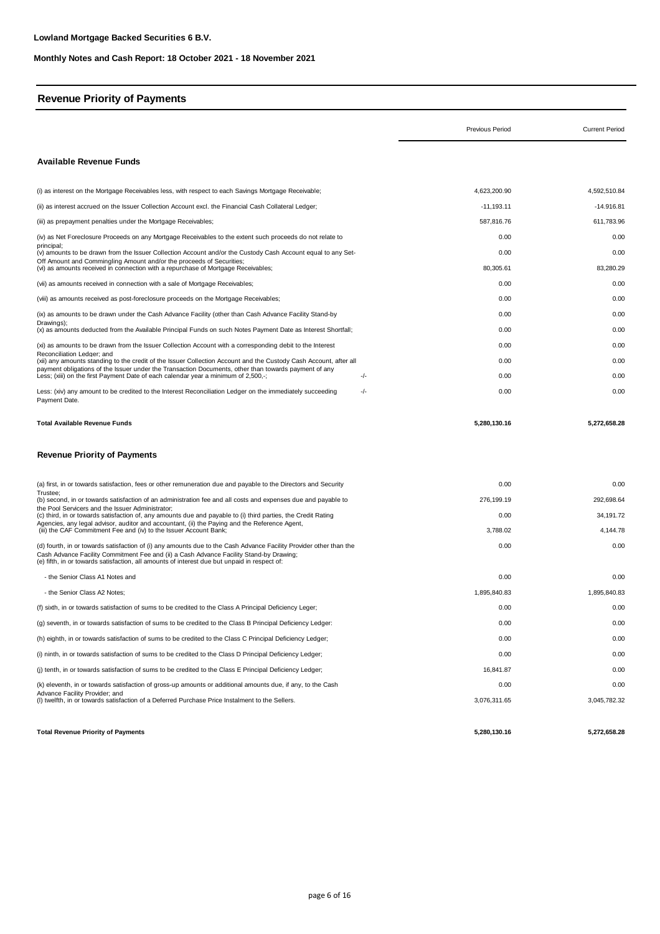# **Revenue Priority of Payments**

|                                                                                                                                                                                                                                                                                                               | Previous Period | <b>Current Period</b> |
|---------------------------------------------------------------------------------------------------------------------------------------------------------------------------------------------------------------------------------------------------------------------------------------------------------------|-----------------|-----------------------|
| <b>Available Revenue Funds</b>                                                                                                                                                                                                                                                                                |                 |                       |
| (i) as interest on the Mortgage Receivables less, with respect to each Savings Mortgage Receivable;                                                                                                                                                                                                           | 4,623,200.90    | 4,592,510.84          |
| (ii) as interest accrued on the Issuer Collection Account excl. the Financial Cash Collateral Ledger;                                                                                                                                                                                                         | $-11,193.11$    | $-14.916.81$          |
| (iii) as prepayment penalties under the Mortgage Receivables;                                                                                                                                                                                                                                                 | 587,816.76      | 611,783.96            |
| (iv) as Net Foreclosure Proceeds on any Mortgage Receivables to the extent such proceeds do not relate to                                                                                                                                                                                                     | 0.00            | 0.00                  |
| principal;<br>(v) amounts to be drawn from the Issuer Collection Account and/or the Custody Cash Account equal to any Set-                                                                                                                                                                                    | 0.00            | 0.00                  |
| Off Amount and Commingling Amount and/or the proceeds of Securities;<br>(vi) as amounts received in connection with a repurchase of Mortgage Receivables;                                                                                                                                                     | 80,305.61       | 83,280.29             |
| (vii) as amounts received in connection with a sale of Mortgage Receivables;                                                                                                                                                                                                                                  | 0.00            | 0.00                  |
| (viii) as amounts received as post-foreclosure proceeds on the Mortgage Receivables;                                                                                                                                                                                                                          | 0.00            | 0.00                  |
| (ix) as amounts to be drawn under the Cash Advance Facility (other than Cash Advance Facility Stand-by                                                                                                                                                                                                        | 0.00            | 0.00                  |
| Drawings);<br>(x) as amounts deducted from the Available Principal Funds on such Notes Payment Date as Interest Shortfall;                                                                                                                                                                                    | 0.00            | 0.00                  |
| (xi) as amounts to be drawn from the Issuer Collection Account with a corresponding debit to the Interest                                                                                                                                                                                                     | 0.00            | 0.00                  |
| Reconciliation Ledger; and<br>(xii) any amounts standing to the credit of the Issuer Collection Account and the Custody Cash Account, after all                                                                                                                                                               | 0.00            | 0.00                  |
| payment obligations of the Issuer under the Transaction Documents, other than towards payment of any<br>Less; (xiii) on the first Payment Date of each calendar year a minimum of 2,500,-;<br>-/-                                                                                                             | 0.00            | 0.00                  |
| -/-<br>Less: (xiv) any amount to be credited to the Interest Reconciliation Ledger on the immediately succeeding<br>Payment Date.                                                                                                                                                                             | 0.00            | 0.00                  |
| <b>Total Available Revenue Funds</b>                                                                                                                                                                                                                                                                          | 5,280,130.16    | 5,272,658.28          |
| <b>Revenue Priority of Payments</b>                                                                                                                                                                                                                                                                           |                 |                       |
| (a) first, in or towards satisfaction, fees or other remuneration due and payable to the Directors and Security                                                                                                                                                                                               | 0.00            | 0.00                  |
| Trustee:<br>(b) second, in or towards satisfaction of an administration fee and all costs and expenses due and payable to                                                                                                                                                                                     | 276,199.19      | 292,698.64            |
| the Pool Servicers and the Issuer Administrator;<br>(c) third, in or towards satisfaction of, any amounts due and payable to (i) third parties, the Credit Rating                                                                                                                                             | 0.00            | 34,191.72             |
| Agencies, any legal advisor, auditor and accountant, (ii) the Paying and the Reference Agent,<br>(iii) the CAF Commitment Fee and (iv) to the Issuer Account Bank;                                                                                                                                            | 3,788.02        | 4,144.78              |
| (d) fourth, in or towards satisfaction of (i) any amounts due to the Cash Advance Facility Provider other than the<br>Cash Advance Facility Commitment Fee and (ii) a Cash Advance Facility Stand-by Drawing;<br>(e) fifth, in or towards satisfaction, all amounts of interest due but unpaid in respect of: | 0.00            | 0.00                  |
| - the Senior Class A1 Notes and                                                                                                                                                                                                                                                                               | 0.00            | 0.00                  |
| - the Senior Class A2 Notes;                                                                                                                                                                                                                                                                                  | 1,895,840.83    | 1,895,840.83          |
| (f) sixth, in or towards satisfaction of sums to be credited to the Class A Principal Deficiency Leger;                                                                                                                                                                                                       | 0.00            | 0.00                  |
| (q) seventh, in or towards satisfaction of sums to be credited to the Class B Principal Deficiency Ledger:                                                                                                                                                                                                    | 0.00            | 0.00                  |
| (h) eighth, in or towards satisfaction of sums to be credited to the Class C Principal Deficiency Ledger;                                                                                                                                                                                                     | 0.00            | 0.00                  |
| (i) ninth, in or towards satisfaction of sums to be credited to the Class D Principal Deficiency Ledger;                                                                                                                                                                                                      | 0.00            | 0.00                  |
| (i) tenth, in or towards satisfaction of sums to be credited to the Class E Principal Deficiency Ledger;                                                                                                                                                                                                      | 16,841.87       | 0.00                  |
| (k) eleventh, in or towards satisfaction of gross-up amounts or additional amounts due, if any, to the Cash                                                                                                                                                                                                   | 0.00            | 0.00                  |
| Advance Facility Provider; and<br>(I) twelfth, in or towards satisfaction of a Deferred Purchase Price Instalment to the Sellers.                                                                                                                                                                             | 3,076,311.65    | 3,045,782.32          |

**Total Revenue Priority of Payments 5,280,130.16**

 **5,272,658.28**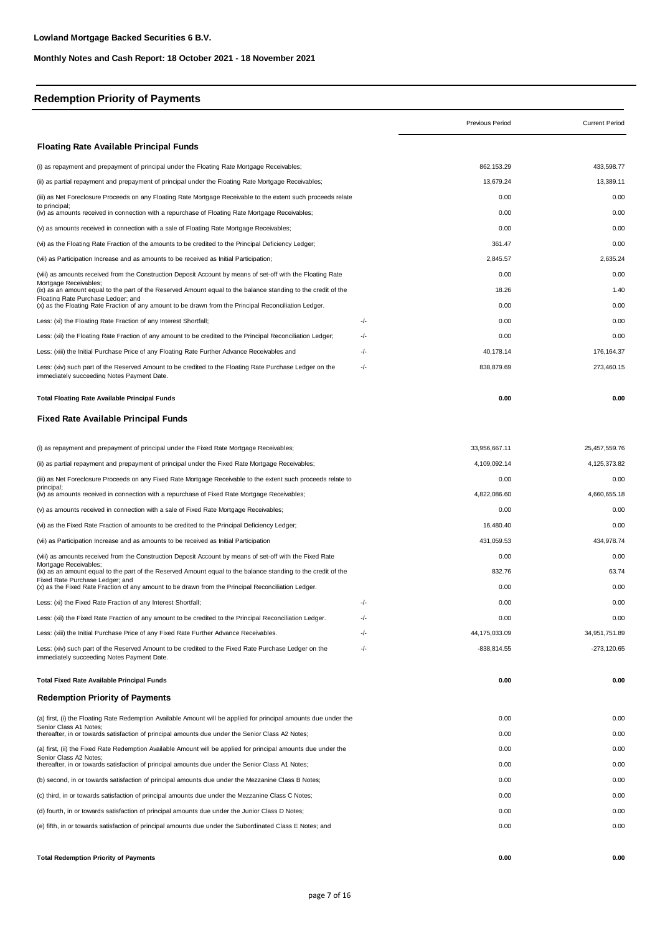# **Redemption Priority of Payments**

|                                                                                                                                             |     | Previous Period | <b>Current Period</b> |
|---------------------------------------------------------------------------------------------------------------------------------------------|-----|-----------------|-----------------------|
| <b>Floating Rate Available Principal Funds</b>                                                                                              |     |                 |                       |
| (i) as repayment and prepayment of principal under the Floating Rate Mortgage Receivables;                                                  |     | 862,153.29      | 433,598.77            |
| (ii) as partial repayment and prepayment of principal under the Floating Rate Mortgage Receivables;                                         |     | 13,679.24       | 13,389.11             |
| (iii) as Net Foreclosure Proceeds on any Floating Rate Mortgage Receivable to the extent such proceeds relate                               |     | 0.00            | 0.00                  |
| to principal:<br>(iv) as amounts received in connection with a repurchase of Floating Rate Mortgage Receivables;                            |     | 0.00            | 0.00                  |
| (v) as amounts received in connection with a sale of Floating Rate Mortgage Receivables;                                                    |     | 0.00            | 0.00                  |
| (vi) as the Floating Rate Fraction of the amounts to be credited to the Principal Deficiency Ledger;                                        |     | 361.47          | 0.00                  |
| (vii) as Participation Increase and as amounts to be received as Initial Participation;                                                     |     | 2.845.57        | 2.635.24              |
| (viii) as amounts received from the Construction Deposit Account by means of set-off with the Floating Rate                                 |     | 0.00            | 0.00                  |
| Mortgage Receivables;<br>(ix) as an amount equal to the part of the Reserved Amount equal to the balance standing to the credit of the      |     | 18.26           | 1.40                  |
| Floating Rate Purchase Ledger; and<br>(x) as the Floating Rate Fraction of any amount to be drawn from the Principal Reconciliation Ledger. |     | 0.00            | 0.00                  |
| Less: (xi) the Floating Rate Fraction of any Interest Shortfall;                                                                            | -/- | 0.00            | 0.00                  |
| Less: (xii) the Floating Rate Fraction of any amount to be credited to the Principal Reconciliation Ledger;                                 | -/- | 0.00            | 0.00                  |
| Less: (xiii) the Initial Purchase Price of any Floating Rate Further Advance Receivables and                                                | -/- | 40,178.14       | 176,164.37            |
| Less: (xiv) such part of the Reserved Amount to be credited to the Floating Rate Purchase Ledger on the                                     | -/- | 838.879.69      | 273,460.15            |
| immediately succeeding Notes Payment Date.                                                                                                  |     |                 |                       |
| <b>Total Floating Rate Available Principal Funds</b>                                                                                        |     | 0.00            | 0.00                  |
| <b>Fixed Rate Available Principal Funds</b>                                                                                                 |     |                 |                       |
| (i) as repayment and prepayment of principal under the Fixed Rate Mortgage Receivables;                                                     |     | 33,956,667.11   | 25,457,559.76         |
| (ii) as partial repayment and prepayment of principal under the Fixed Rate Mortgage Receivables;                                            |     | 4,109,092.14    | 4,125,373.82          |
| (iii) as Net Foreclosure Proceeds on any Fixed Rate Mortgage Receivable to the extent such proceeds relate to                               |     | 0.00            | 0.00                  |
| principal:<br>(iv) as amounts received in connection with a repurchase of Fixed Rate Mortgage Receivables;                                  |     | 4,822,086.60    | 4,660,655.18          |
| (v) as amounts received in connection with a sale of Fixed Rate Mortgage Receivables;                                                       |     | 0.00            | 0.00                  |
| (vi) as the Fixed Rate Fraction of amounts to be credited to the Principal Deficiency Ledger;                                               |     | 16,480.40       | 0.00                  |
| (vii) as Participation Increase and as amounts to be received as Initial Participation                                                      |     | 431,059.53      | 434,978.74            |
| (viii) as amounts received from the Construction Deposit Account by means of set-off with the Fixed Rate                                    |     | 0.00            | 0.00                  |
| Mortgage Receivables:<br>(ix) as an amount equal to the part of the Reserved Amount equal to the balance standing to the credit of the      |     | 832.76          | 63.74                 |
| Fixed Rate Purchase Ledger: and<br>(x) as the Fixed Rate Fraction of any amount to be drawn from the Principal Reconciliation Ledger.       |     | 0.00            | 0.00                  |
| Less: (xi) the Fixed Rate Fraction of any Interest Shortfall;                                                                               | -/- | 0.00            | 0.00                  |
| Less: (xii) the Fixed Rate Fraction of any amount to be credited to the Principal Reconciliation Ledger.                                    | -/- | 0.00            | 0.00                  |
| Less: (xiii) the Initial Purchase Price of any Fixed Rate Further Advance Receivables.                                                      | -/- | 44,175,033.09   | 34,951,751.89         |
| Less: (xiv) such part of the Reserved Amount to be credited to the Fixed Rate Purchase Ledger on the                                        | -/- | $-838, 814.55$  | $-273,120.65$         |
| immediately succeeding Notes Payment Date.                                                                                                  |     |                 |                       |
| <b>Total Fixed Rate Available Principal Funds</b>                                                                                           |     | 0.00            | 0.00                  |
| <b>Redemption Priority of Payments</b>                                                                                                      |     |                 |                       |
| (a) first, (i) the Floating Rate Redemption Available Amount will be applied for principal amounts due under the                            |     | 0.00            | 0.00                  |
| Senior Class A1 Notes:<br>thereafter, in or towards satisfaction of principal amounts due under the Senior Class A2 Notes;                  |     | 0.00            | 0.00                  |
| (a) first, (ii) the Fixed Rate Redemption Available Amount will be applied for principal amounts due under the                              |     | 0.00            | 0.00                  |
| Senior Class A2 Notes;<br>thereafter, in or towards satisfaction of principal amounts due under the Senior Class A1 Notes;                  |     | 0.00            | 0.00                  |
| (b) second, in or towards satisfaction of principal amounts due under the Mezzanine Class B Notes;                                          |     | 0.00            | 0.00                  |
| (c) third, in or towards satisfaction of principal amounts due under the Mezzanine Class C Notes;                                           |     | 0.00            | 0.00                  |
| (d) fourth, in or towards satisfaction of principal amounts due under the Junior Class D Notes;                                             |     | 0.00            | 0.00                  |
| (e) fifth, in or towards satisfaction of principal amounts due under the Subordinated Class E Notes; and                                    |     | 0.00            | 0.00                  |
|                                                                                                                                             |     |                 |                       |

**Total Redemption Priority of Payments 0.00 0.00**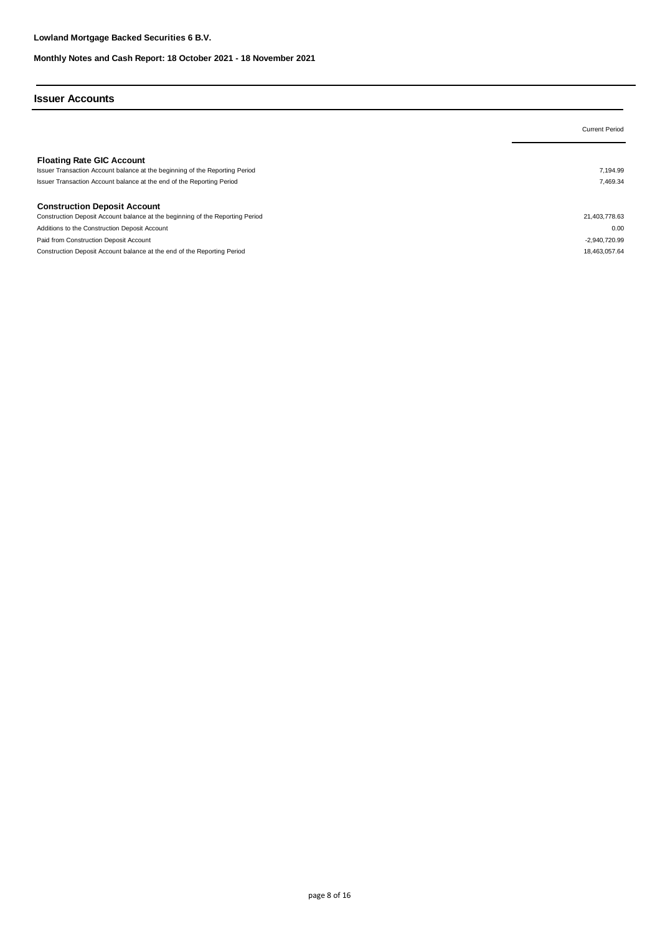#### **Issuer Accounts**

| <b>Current Period</b> |
|-----------------------|
|                       |
|                       |
| 7.194.99              |
| 7,469.34              |
|                       |
|                       |
| 21,403,778.63         |
| 0.00                  |
| -2,940,720.99         |
| 18.463.057.64         |
|                       |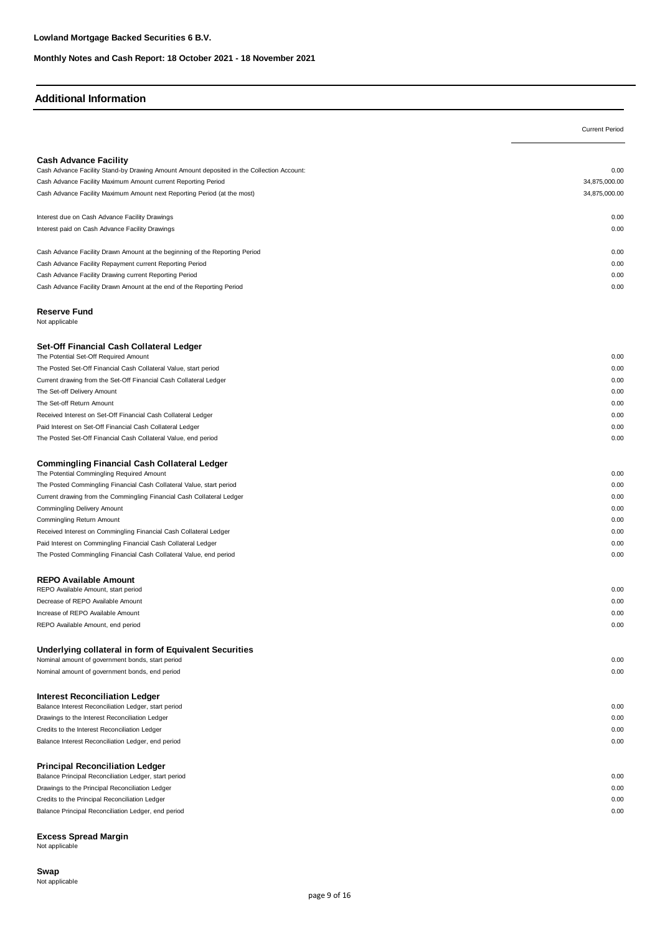#### **Additional Information**

|                                                                                                                           | <b>Current Period</b> |
|---------------------------------------------------------------------------------------------------------------------------|-----------------------|
|                                                                                                                           |                       |
| <b>Cash Advance Facility</b><br>Cash Advance Facility Stand-by Drawing Amount Amount deposited in the Collection Account: | 0.00                  |
| Cash Advance Facility Maximum Amount current Reporting Period                                                             | 34,875,000.00         |
| Cash Advance Facility Maximum Amount next Reporting Period (at the most)                                                  | 34,875,000.00         |
|                                                                                                                           |                       |
| Interest due on Cash Advance Facility Drawings                                                                            | 0.00                  |
| Interest paid on Cash Advance Facility Drawings                                                                           | 0.00                  |
| Cash Advance Facility Drawn Amount at the beginning of the Reporting Period                                               | 0.00                  |
| Cash Advance Facility Repayment current Reporting Period                                                                  | 0.00                  |
| Cash Advance Facility Drawing current Reporting Period                                                                    | 0.00                  |
| Cash Advance Facility Drawn Amount at the end of the Reporting Period                                                     | 0.00                  |
| <b>Reserve Fund</b><br>Not applicable                                                                                     |                       |
| Set-Off Financial Cash Collateral Ledger                                                                                  |                       |
| The Potential Set-Off Required Amount                                                                                     | 0.00                  |
| The Posted Set-Off Financial Cash Collateral Value, start period                                                          | 0.00                  |
| Current drawing from the Set-Off Financial Cash Collateral Ledger                                                         | 0.00                  |
| The Set-off Delivery Amount                                                                                               | 0.00                  |
| The Set-off Return Amount                                                                                                 | 0.00                  |
| Received Interest on Set-Off Financial Cash Collateral Ledger                                                             | 0.00                  |
| Paid Interest on Set-Off Financial Cash Collateral Ledger                                                                 | 0.00                  |
| The Posted Set-Off Financial Cash Collateral Value, end period                                                            | 0.00                  |
| <b>Commingling Financial Cash Collateral Ledger</b><br>The Potential Commingling Required Amount                          | 0.00                  |
| The Posted Commingling Financial Cash Collateral Value, start period                                                      | 0.00                  |
| Current drawing from the Commingling Financial Cash Collateral Ledger                                                     | 0.00                  |
| Commingling Delivery Amount                                                                                               | 0.00                  |
| Commingling Return Amount                                                                                                 | 0.00                  |
| Received Interest on Commingling Financial Cash Collateral Ledger                                                         | 0.00                  |
| Paid Interest on Commingling Financial Cash Collateral Ledger                                                             | 0.00                  |
| The Posted Commingling Financial Cash Collateral Value, end period                                                        | 0.00                  |
| <b>REPO Available Amount</b>                                                                                              |                       |
| REPO Available Amount, start period                                                                                       | 0.00                  |
| Decrease of REPO Available Amount                                                                                         | 0.00                  |
| Increase of REPO Available Amount                                                                                         | 0.00                  |
| REPO Available Amount, end period                                                                                         | 0.00                  |
| Underlying collateral in form of Equivalent Securities                                                                    |                       |
| Nominal amount of government bonds, start period                                                                          | 0.00                  |
| Nominal amount of government bonds, end period                                                                            | 0.00                  |
| <b>Interest Reconciliation Ledger</b>                                                                                     |                       |
| Balance Interest Reconciliation Ledger, start period                                                                      | 0.00                  |
| Drawings to the Interest Reconciliation Ledger                                                                            | 0.00                  |
| Credits to the Interest Reconciliation Ledger                                                                             | 0.00                  |
| Balance Interest Reconciliation Ledger, end period                                                                        | 0.00                  |
| <b>Principal Reconciliation Ledger</b>                                                                                    |                       |
| Balance Principal Reconciliation Ledger, start period                                                                     | 0.00                  |
| Drawings to the Principal Reconciliation Ledger                                                                           | 0.00                  |
| Credits to the Principal Reconciliation Ledger                                                                            | 0.00                  |
| Balance Principal Reconciliation Ledger, end period                                                                       | 0.00                  |

#### **Excess Spread Margin**

Not applicable

#### **Swap** Not applicable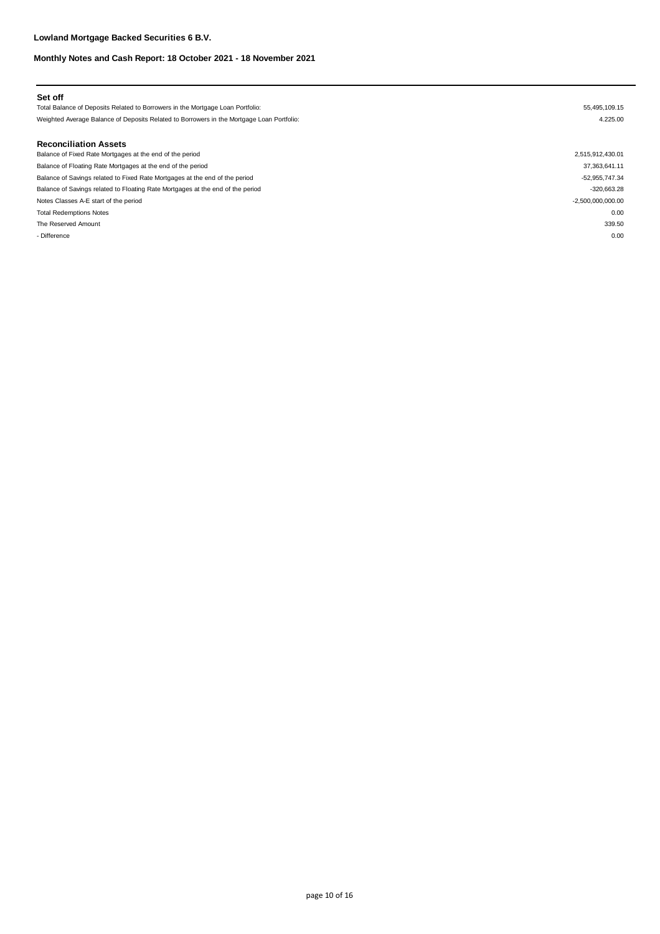| Set off                                                                                   |                     |
|-------------------------------------------------------------------------------------------|---------------------|
| Total Balance of Deposits Related to Borrowers in the Mortgage Loan Portfolio:            | 55,495,109.15       |
| Weighted Average Balance of Deposits Related to Borrowers in the Mortgage Loan Portfolio: | 4.225.00            |
| <b>Reconciliation Assets</b>                                                              |                     |
| Balance of Fixed Rate Mortgages at the end of the period                                  | 2,515,912,430.01    |
| Balance of Floating Rate Mortgages at the end of the period                               | 37,363,641.11       |
| Balance of Savings related to Fixed Rate Mortgages at the end of the period               | -52,955,747.34      |
| Balance of Savings related to Floating Rate Mortgages at the end of the period            | $-320,663.28$       |
| Notes Classes A-E start of the period                                                     | $-2,500,000,000.00$ |
| <b>Total Redemptions Notes</b>                                                            | 0.00                |
| The Reserved Amount                                                                       | 339.50              |
| - Difference                                                                              | 0.00                |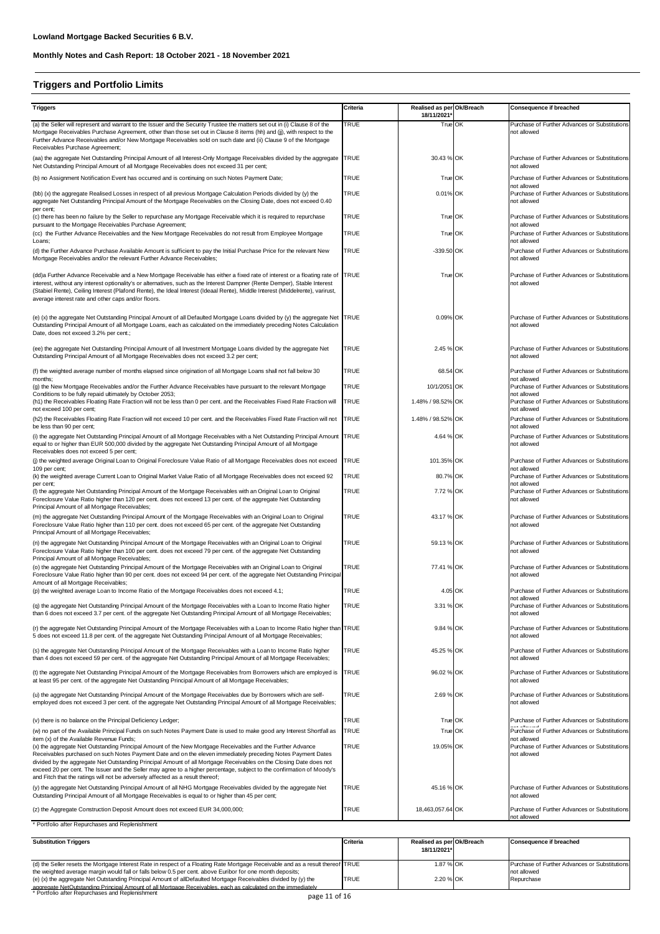# **Triggers and Portfolio Limits**

| <b>Triggers</b>                                                                                                                                                                                                                                                                                                                                                                                                                                                                                                                                              | Criteria    | Realised as per Ok/Breach |    | Consequence if breached                                                     |
|--------------------------------------------------------------------------------------------------------------------------------------------------------------------------------------------------------------------------------------------------------------------------------------------------------------------------------------------------------------------------------------------------------------------------------------------------------------------------------------------------------------------------------------------------------------|-------------|---------------------------|----|-----------------------------------------------------------------------------|
| (a) the Seller will represent and warrant to the Issuer and the Security Trustee the matters set out in (i) Clause 8 of the                                                                                                                                                                                                                                                                                                                                                                                                                                  | TRUE        | 18/11/2021<br>True OK     |    | Purchase of Further Advances or Substitutions                               |
| Mortgage Receivables Purchase Agreement, other than those set out in Clause 8 items (hh) and (jj), with respect to the<br>Further Advance Receivables and/or New Mortgage Receivables sold on such date and (ii) Clause 9 of the Mortgage<br>Receivables Purchase Agreement;                                                                                                                                                                                                                                                                                 |             |                           |    | not allowed                                                                 |
| (aa) the aggregate Net Outstanding Principal Amount of all Interest-Only Mortgage Receivables divided by the aggregate<br>Net Outstanding Principal Amount of all Mortgage Receivables does not exceed 31 per cent;                                                                                                                                                                                                                                                                                                                                          | <b>TRUE</b> | 30.43 % OK                |    | Purchase of Further Advances or Substitutions<br>not allowed                |
| (b) no Assignment Notification Event has occurred and is continuing on such Notes Payment Date;                                                                                                                                                                                                                                                                                                                                                                                                                                                              | TRUE        | True OK                   |    | Purchase of Further Advances or Substitutions                               |
| (bb) (x) the aggregate Realised Losses in respect of all previous Mortgage Calculation Periods divided by (y) the<br>aggregate Net Outstanding Principal Amount of the Mortgage Receivables on the Closing Date, does not exceed 0.40                                                                                                                                                                                                                                                                                                                        | TRUE        | 0.01% OK                  |    | not allowed<br>Purchase of Further Advances or Substitutions<br>not allowed |
| per cent;<br>(c) there has been no failure by the Seller to repurchase any Mortgage Receivable which it is required to repurchase<br>pursuant to the Mortgage Receivables Purchase Agreement;                                                                                                                                                                                                                                                                                                                                                                | <b>TRUE</b> | True OK                   |    | Purchase of Further Advances or Substitutions<br>not allowed                |
| (cc) the Further Advance Receivables and the New Mortgage Receivables do not result from Employee Mortgage<br>Loans;                                                                                                                                                                                                                                                                                                                                                                                                                                         | <b>TRUE</b> | True OK                   |    | Purchase of Further Advances or Substitutions<br>not allowed                |
| (d) the Further Advance Purchase Available Amount is sufficient to pay the Initial Purchase Price for the relevant New<br>Mortgage Receivables and/or the relevant Further Advance Receivables;                                                                                                                                                                                                                                                                                                                                                              | <b>TRUE</b> | -339.50 OK                |    | Purchase of Further Advances or Substitutions<br>not allowed                |
| (dd)a Further Advance Receivable and a New Mortgage Receivable has either a fixed rate of interest or a floating rate of TRUE<br>interest, without any interest optionality's or alternatives, such as the Interest Dampner (Rente Demper), Stable Interest<br>(Stabiel Rente), Ceiling Interest (Plafond Rente), the Ideal Interest (Ideaal Rente), Middle Interest (Middelrente), varirust,<br>average interest rate and other caps and/or floors.                                                                                                         |             | True OK                   |    | Purchase of Further Advances or Substitutions<br>not allowed                |
| (e) (x) the aggregate Net Outstanding Principal Amount of all Defaulted Mortgage Loans divided by (y) the aggregate Net TRUE<br>Outstanding Principal Amount of all Mortgage Loans, each as calculated on the immediately preceding Notes Calculation<br>Date, does not exceed 3.2% per cent.;                                                                                                                                                                                                                                                               |             | 0.09% OK                  |    | Purchase of Further Advances or Substitutions<br>not allowed                |
| (ee) the aggregate Net Outstanding Principal Amount of all Investment Mortgage Loans divided by the aggregate Net<br>Outstanding Principal Amount of all Mortgage Receivables does not exceed 3.2 per cent;                                                                                                                                                                                                                                                                                                                                                  | <b>TRUE</b> | 2.45 % OK                 |    | Purchase of Further Advances or Substitutions<br>not allowed                |
| (f) the weighted average number of months elapsed since origination of all Mortgage Loans shall not fall below 30                                                                                                                                                                                                                                                                                                                                                                                                                                            | TRUE        | 68.54 OK                  |    | Purchase of Further Advances or Substitutions<br>not allowed                |
| months:<br>(g) the New Mortgage Receivables and/or the Further Advance Receivables have pursuant to the relevant Mortgage                                                                                                                                                                                                                                                                                                                                                                                                                                    | <b>TRUE</b> | 10/1/2051                 | OK | Purchase of Further Advances or Substitutions                               |
| Conditions to be fully repaid ultimately by October 2053;<br>(h1) the Receivables Floating Rate Fraction will not be less than 0 per cent. and the Receivables Fixed Rate Fraction will<br>not exceed 100 per cent;                                                                                                                                                                                                                                                                                                                                          | TRUE        | 1.48% / 98.52% OK         |    | not allowed<br>Purchase of Further Advances or Substitutions<br>not allowed |
| (h2) the Receivables Floating Rate Fraction will not exceed 10 per cent. and the Receivables Fixed Rate Fraction will not<br>be less than 90 per cent;                                                                                                                                                                                                                                                                                                                                                                                                       | <b>TRUE</b> | 1.48% / 98.52% OK         |    | Purchase of Further Advances or Substitutions<br>not allowed                |
| (i) the aggregate Net Outstanding Principal Amount of all Mortgage Receivables with a Net Outstanding Principal Amount TRUE<br>equal to or higher than EUR 500,000 divided by the aggregate Net Outstanding Principal Amount of all Mortgage<br>Receivables does not exceed 5 per cent;                                                                                                                                                                                                                                                                      |             | 4.64 % OK                 |    | Purchase of Further Advances or Substitutions<br>not allowed                |
| (j) the weighted average Original Loan to Original Foreclosure Value Ratio of all Mortgage Receivables does not exceed                                                                                                                                                                                                                                                                                                                                                                                                                                       | <b>TRUE</b> | 101.35% OK                |    | Purchase of Further Advances or Substitutions                               |
| 109 per cent;<br>(k) the weighted average Current Loan to Original Market Value Ratio of all Mortgage Receivables does not exceed 92                                                                                                                                                                                                                                                                                                                                                                                                                         | <b>TRUE</b> | 80.7% OK                  |    | not allowed<br>Purchase of Further Advances or Substitutions                |
| per cent;<br>(I) the aggregate Net Outstanding Principal Amount of the Mortgage Receivables with an Original Loan to Original<br>Foreclosure Value Ratio higher than 120 per cent. does not exceed 13 per cent. of the aggregate Net Outstanding<br>Principal Amount of all Mortgage Receivables;                                                                                                                                                                                                                                                            | <b>TRUE</b> | 7.72 % OK                 |    | not allowed<br>Purchase of Further Advances or Substitutions<br>not allowed |
| (m) the aggregate Net Outstanding Principal Amount of the Mortgage Receivables with an Original Loan to Original<br>Foreclosure Value Ratio higher than 110 per cent. does not exceed 65 per cent. of the aggregate Net Outstanding<br>Principal Amount of all Mortgage Receivables;                                                                                                                                                                                                                                                                         | <b>TRUE</b> | 43.17 % OK                |    | Purchase of Further Advances or Substitutions<br>not allowed                |
| (n) the aggregate Net Outstanding Principal Amount of the Mortgage Receivables with an Original Loan to Original<br>Foreclosure Value Ratio higher than 100 per cent. does not exceed 79 per cent. of the aggregate Net Outstanding<br>Principal Amount of all Mortgage Receivables;                                                                                                                                                                                                                                                                         | <b>TRUE</b> | 59.13 % OK                |    | Purchase of Further Advances or Substitutions<br>not allowed                |
| (o) the aggregate Net Outstanding Principal Amount of the Mortgage Receivables with an Original Loan to Original<br>Foreclosure Value Ratio higher than 90 per cent. does not exceed 94 per cent. of the aggregate Net Outstanding Principal<br>Amount of all Mortgage Receivables;                                                                                                                                                                                                                                                                          | TRUE        | 77.41 % OK                |    | Purchase of Further Advances or Substitutions<br>not allowed                |
| (p) the weighted average Loan to Income Ratio of the Mortgage Receivables does not exceed 4.1;                                                                                                                                                                                                                                                                                                                                                                                                                                                               | <b>TRUE</b> | 4.05 OK                   |    | Purchase of Further Advances or Substitutions<br>not allowed                |
| (q) the aggregate Net Outstanding Principal Amount of the Mortgage Receivables with a Loan to Income Ratio higher<br>than 6 does not exceed 3.7 per cent. of the aggregate Net Outstanding Principal Amount of all Mortgage Receivables;                                                                                                                                                                                                                                                                                                                     | <b>TRUE</b> | 3.31 % OK                 |    | Purchase of Further Advances or Substitutions<br>not allowed                |
| (r) the aggregate Net Outstanding Principal Amount of the Mortgage Receivables with a Loan to Income Ratio higher than TRUE<br>5 does not exceed 11.8 per cent. of the aggregate Net Outstanding Principal Amount of all Mortgage Receivables;                                                                                                                                                                                                                                                                                                               |             | 9.84 % OK                 |    | Purchase of Further Advances or Substitutions<br>not allowed                |
| (s) the aggregate Net Outstanding Principal Amount of the Mortgage Receivables with a Loan to Income Ratio higher<br>than 4 does not exceed 59 per cent. of the aggregate Net Outstanding Principal Amount of all Mortgage Receivables;                                                                                                                                                                                                                                                                                                                      | <b>TRUE</b> | 45.25 % OK                |    | Purchase of Further Advances or Substitutions<br>not allowed                |
| (t) the aggregate Net Outstanding Principal Amount of the Mortgage Receivables from Borrowers which are employed is<br>at least 95 per cent. of the aggregate Net Outstanding Principal Amount of all Mortgage Receivables;                                                                                                                                                                                                                                                                                                                                  | <b>TRUE</b> | 96.02 % OK                |    | Purchase of Further Advances or Substitutions<br>not allowed                |
| (u) the aggregate Net Outstanding Principal Amount of the Mortgage Receivables due by Borrowers which are self-<br>employed does not exceed 3 per cent. of the aggregate Net Outstanding Principal Amount of all Mortgage Receivables;                                                                                                                                                                                                                                                                                                                       | <b>TRUE</b> | 2.69 % OK                 |    | Purchase of Further Advances or Substitutions<br>not allowed                |
| (v) there is no balance on the Principal Deficiency Ledger;                                                                                                                                                                                                                                                                                                                                                                                                                                                                                                  | <b>TRUE</b> | True OK                   |    | Purchase of Further Advances or Substitutions                               |
| (w) no part of the Available Principal Funds on such Notes Payment Date is used to make good any Interest Shortfall as<br>item (x) of the Available Revenue Funds;                                                                                                                                                                                                                                                                                                                                                                                           | <b>TRUE</b> | True OK                   |    | Purchase of Further Advances or Substitutions<br>not allowed                |
| (x) the aggregate Net Outstanding Principal Amount of the New Mortgage Receivables and the Further Advance<br>Receivables purchased on such Notes Payment Date and on the eleven immediately preceding Notes Payment Dates<br>divided by the aggregate Net Outstanding Principal Amount of all Mortgage Receivables on the Closing Date does not<br>exceed 20 per cent. The Issuer and the Seller may agree to a higher percentage, subject to the confirmation of Moody's<br>and Fitch that the ratings will not be adversely affected as a result thereof; | TRUE        | 19.05% OK                 |    | Purchase of Further Advances or Substitutions<br>not allowed                |
| (y) the aggregate Net Outstanding Principal Amount of all NHG Mortgage Receivables divided by the aggregate Net<br>Outstanding Principal Amount of all Mortgage Receivables is equal to or higher than 45 per cent;                                                                                                                                                                                                                                                                                                                                          | <b>TRUE</b> | 45.16 % OK                |    | Purchase of Further Advances or Substitutions<br>not allowed                |
| (z) the Aggregate Construction Deposit Amount does not exceed EUR 34,000,000;                                                                                                                                                                                                                                                                                                                                                                                                                                                                                | <b>TRUE</b> | 18,463,057.64 OK          |    | Purchase of Further Advances or Substitutions                               |
| * Portfolio after Repurchases and Replenishment                                                                                                                                                                                                                                                                                                                                                                                                                                                                                                              |             |                           |    | not allowed                                                                 |

| <b>Substitution Triggers</b>                                                                                                    | <b>Criteria</b> | Realised as per Ok/Breach | Consequence if breached                       |
|---------------------------------------------------------------------------------------------------------------------------------|-----------------|---------------------------|-----------------------------------------------|
|                                                                                                                                 |                 | 18/11/2021*               |                                               |
|                                                                                                                                 |                 |                           |                                               |
| (d) the Seller resets the Mortgage Interest Rate in respect of a Floating Rate Mortgage Receivable and as a result thereof TRUE |                 | 1.87 % OK                 | Purchase of Further Advances or Substitutions |
| the weighted average margin would fall or falls below 0.5 per cent. above Euribor for one month deposits;                       |                 |                           | not allowed                                   |
| (e) (x) the aggregate Net Outstanding Principal Amount of allDefaulted Mortgage Receivables divided by (y) the                  | TRUE            | 2.20 % OK                 | Repurchase                                    |
| aggregate NetOutstanding Principal Amount of all Mortgage Receivables, each as calculated on the immediately                    |                 |                           |                                               |
| * Portfolio after Repurchases and Replenishment<br>$n \cdot 11 \cdot 10$                                                        |                 |                           |                                               |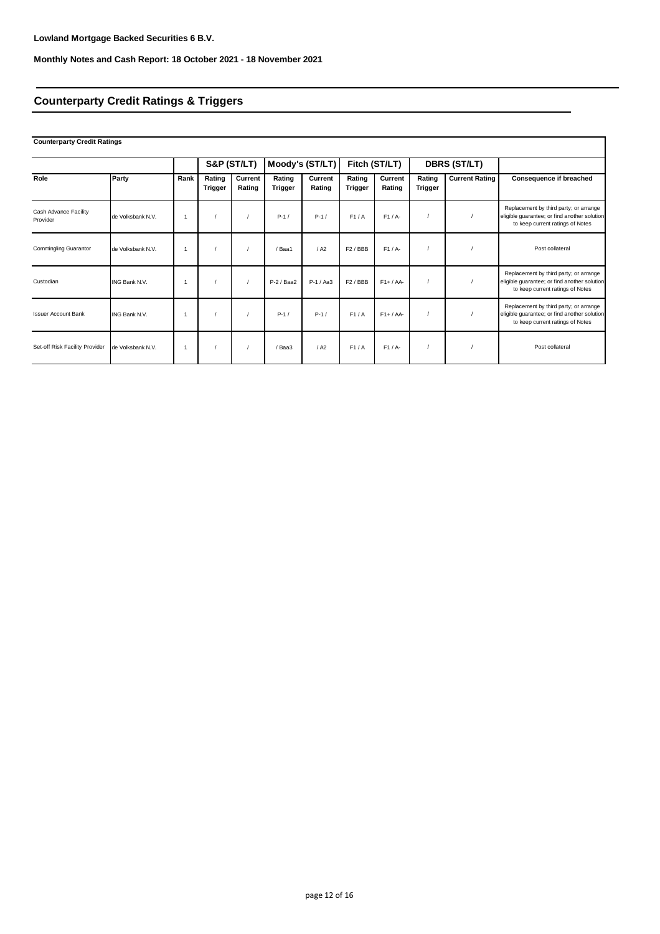# **Counterparty Credit Ratings & Triggers**

# **Counterparty Credit Ratings**

|                                   |                   |                |                   | S&P (ST/LT)       |                   | Moody's (ST/LT)   |                     | Fitch (ST/LT)     |                   | DBRS (ST/LT)          |                                                                                                                            |
|-----------------------------------|-------------------|----------------|-------------------|-------------------|-------------------|-------------------|---------------------|-------------------|-------------------|-----------------------|----------------------------------------------------------------------------------------------------------------------------|
| Role                              | Party             | Rank           | Rating<br>Trigger | Current<br>Rating | Rating<br>Trigger | Current<br>Rating | Rating<br>Trigger   | Current<br>Rating | Rating<br>Trigger | <b>Current Rating</b> | <b>Consequence if breached</b>                                                                                             |
| Cash Advance Facility<br>Provider | de Volksbank N.V. | $\overline{1}$ |                   |                   | $P-1/$            | $P-1/$            | F1/A                | $F1/A-$           |                   |                       | Replacement by third party; or arrange<br>eligible guarantee; or find another solution<br>to keep current ratings of Notes |
| <b>Commingling Guarantor</b>      | de Volksbank N.V. | -1             |                   |                   | / Baa1            | / A2              | F2/BBB              | $F1/A-$           |                   |                       | Post collateral                                                                                                            |
| Custodian                         | ING Bank N.V.     | $\overline{1}$ |                   |                   | P-2 / Baa2        | $P-1/AA3$         | F <sub>2</sub> /BBB | $F1+ / AA-$       |                   |                       | Replacement by third party; or arrange<br>eligible guarantee; or find another solution<br>to keep current ratings of Notes |
| <b>Issuer Account Bank</b>        | ING Bank N.V.     | $\overline{1}$ |                   |                   | $P-1/$            | $P-1/$            | F1/A                | $F1+ / AA-$       |                   |                       | Replacement by third party; or arrange<br>eligible guarantee; or find another solution<br>to keep current ratings of Notes |
| Set-off Risk Facility Provider    | de Volksbank N.V. | -1             |                   |                   | / Baa3            | / A2              | F1/A                | F1/A              |                   |                       | Post collateral                                                                                                            |

٦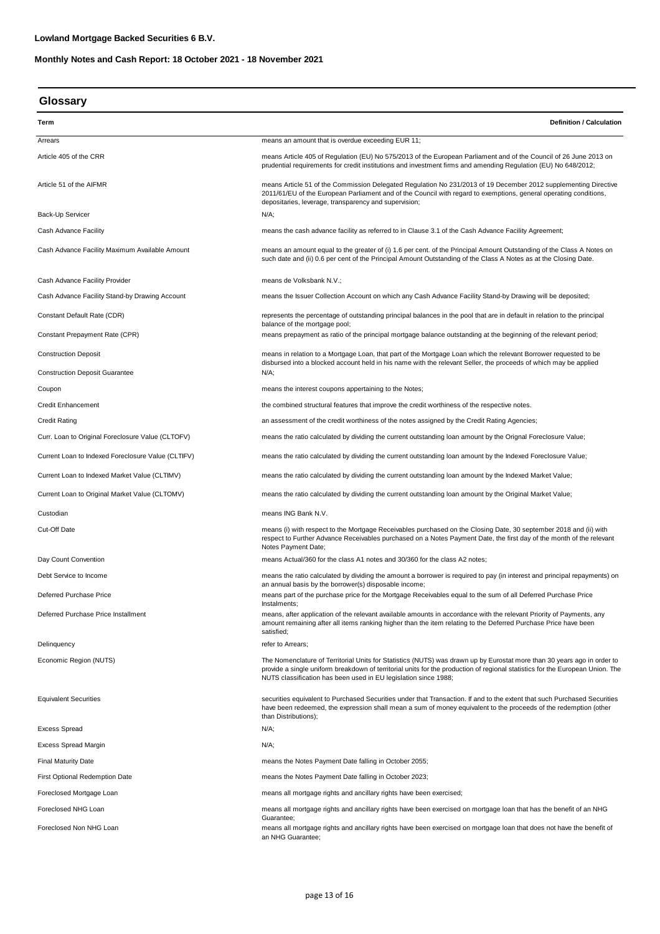| Glossary |
|----------|
|----------|

| Term                                               | <b>Definition / Calculation</b>                                                                                                                                                                                                                                                                                             |  |  |
|----------------------------------------------------|-----------------------------------------------------------------------------------------------------------------------------------------------------------------------------------------------------------------------------------------------------------------------------------------------------------------------------|--|--|
| Arrears                                            | means an amount that is overdue exceeding EUR 11;                                                                                                                                                                                                                                                                           |  |  |
| Article 405 of the CRR                             | means Article 405 of Regulation (EU) No 575/2013 of the European Parliament and of the Council of 26 June 2013 on<br>prudential requirements for credit institutions and investment firms and amending Requlation (EU) No 648/2012;                                                                                         |  |  |
| Article 51 of the AIFMR                            | means Article 51 of the Commission Delegated Regulation No 231/2013 of 19 December 2012 supplementing Directive<br>2011/61/EU of the European Parliament and of the Council with regard to exemptions, general operating conditions,<br>depositaries, leverage, transparency and supervision;                               |  |  |
| Back-Up Servicer                                   | N/A;                                                                                                                                                                                                                                                                                                                        |  |  |
| Cash Advance Facility                              | means the cash advance facility as referred to in Clause 3.1 of the Cash Advance Facility Agreement;                                                                                                                                                                                                                        |  |  |
| Cash Advance Facility Maximum Available Amount     | means an amount equal to the greater of (i) 1.6 per cent. of the Principal Amount Outstanding of the Class A Notes on<br>such date and (ii) 0.6 per cent of the Principal Amount Outstanding of the Class A Notes as at the Closing Date.                                                                                   |  |  |
| Cash Advance Facility Provider                     | means de Volksbank N.V.;                                                                                                                                                                                                                                                                                                    |  |  |
| Cash Advance Facility Stand-by Drawing Account     | means the Issuer Collection Account on which any Cash Advance Facility Stand-by Drawing will be deposited;                                                                                                                                                                                                                  |  |  |
| Constant Default Rate (CDR)                        | represents the percentage of outstanding principal balances in the pool that are in default in relation to the principal                                                                                                                                                                                                    |  |  |
| Constant Prepayment Rate (CPR)                     | balance of the mortgage pool;<br>means prepayment as ratio of the principal mortgage balance outstanding at the beginning of the relevant period;                                                                                                                                                                           |  |  |
| <b>Construction Deposit</b>                        | means in relation to a Mortgage Loan, that part of the Mortgage Loan which the relevant Borrower requested to be<br>disbursed into a blocked account held in his name with the relevant Seller, the proceeds of which may be applied                                                                                        |  |  |
| <b>Construction Deposit Guarantee</b>              | N/A;                                                                                                                                                                                                                                                                                                                        |  |  |
| Coupon                                             | means the interest coupons appertaining to the Notes;                                                                                                                                                                                                                                                                       |  |  |
| <b>Credit Enhancement</b>                          | the combined structural features that improve the credit worthiness of the respective notes.                                                                                                                                                                                                                                |  |  |
| <b>Credit Rating</b>                               | an assessment of the credit worthiness of the notes assigned by the Credit Rating Agencies;                                                                                                                                                                                                                                 |  |  |
| Curr. Loan to Original Foreclosure Value (CLTOFV)  | means the ratio calculated by dividing the current outstanding loan amount by the Orignal Foreclosure Value;                                                                                                                                                                                                                |  |  |
| Current Loan to Indexed Foreclosure Value (CLTIFV) | means the ratio calculated by dividing the current outstanding loan amount by the Indexed Foreclosure Value;                                                                                                                                                                                                                |  |  |
| Current Loan to Indexed Market Value (CLTIMV)      | means the ratio calculated by dividing the current outstanding loan amount by the Indexed Market Value;                                                                                                                                                                                                                     |  |  |
| Current Loan to Original Market Value (CLTOMV)     | means the ratio calculated by dividing the current outstanding loan amount by the Original Market Value;                                                                                                                                                                                                                    |  |  |
| Custodian                                          | means ING Bank N.V.                                                                                                                                                                                                                                                                                                         |  |  |
| Cut-Off Date                                       | means (i) with respect to the Mortgage Receivables purchased on the Closing Date, 30 september 2018 and (ii) with<br>respect to Further Advance Receivables purchased on a Notes Payment Date, the first day of the month of the relevant<br>Notes Payment Date;                                                            |  |  |
| Day Count Convention                               | means Actual/360 for the class A1 notes and 30/360 for the class A2 notes;                                                                                                                                                                                                                                                  |  |  |
| Debt Service to Income                             | means the ratio calculated by dividing the amount a borrower is required to pay (in interest and principal repayments) on<br>an annual basis by the borrower(s) disposable income;                                                                                                                                          |  |  |
| Deferred Purchase Price                            | means part of the purchase price for the Mortgage Receivables equal to the sum of all Deferred Purchase Price<br>Instalments;                                                                                                                                                                                               |  |  |
| Deferred Purchase Price Installment                | means, after application of the relevant available amounts in accordance with the relevant Priority of Payments, any<br>amount remaining after all items ranking higher than the item relating to the Deferred Purchase Price have been<br>satisfied;                                                                       |  |  |
| Delinquency                                        | refer to Arrears;                                                                                                                                                                                                                                                                                                           |  |  |
| Economic Region (NUTS)                             | The Nomenclature of Territorial Units for Statistics (NUTS) was drawn up by Eurostat more than 30 years ago in order to<br>provide a single uniform breakdown of territorial units for the production of regional statistics for the European Union. The<br>NUTS classification has been used in EU legislation since 1988; |  |  |
| <b>Equivalent Securities</b>                       | securities equivalent to Purchased Securities under that Transaction. If and to the extent that such Purchased Securities<br>have been redeemed, the expression shall mean a sum of money equivalent to the proceeds of the redemption (other<br>than Distributions);                                                       |  |  |
| <b>Excess Spread</b>                               | N/A;                                                                                                                                                                                                                                                                                                                        |  |  |
| Excess Spread Margin                               | N/A;                                                                                                                                                                                                                                                                                                                        |  |  |
| <b>Final Maturity Date</b>                         | means the Notes Payment Date falling in October 2055;                                                                                                                                                                                                                                                                       |  |  |
| First Optional Redemption Date                     | means the Notes Payment Date falling in October 2023;                                                                                                                                                                                                                                                                       |  |  |
| Foreclosed Mortgage Loan                           | means all mortgage rights and ancillary rights have been exercised;                                                                                                                                                                                                                                                         |  |  |
| Foreclosed NHG Loan                                | means all mortgage rights and ancillary rights have been exercised on mortgage loan that has the benefit of an NHG                                                                                                                                                                                                          |  |  |
| Foreclosed Non NHG Loan                            | Guarantee;<br>means all mortgage rights and ancillary rights have been exercised on mortgage loan that does not have the benefit of<br>an NHG Guarantee;                                                                                                                                                                    |  |  |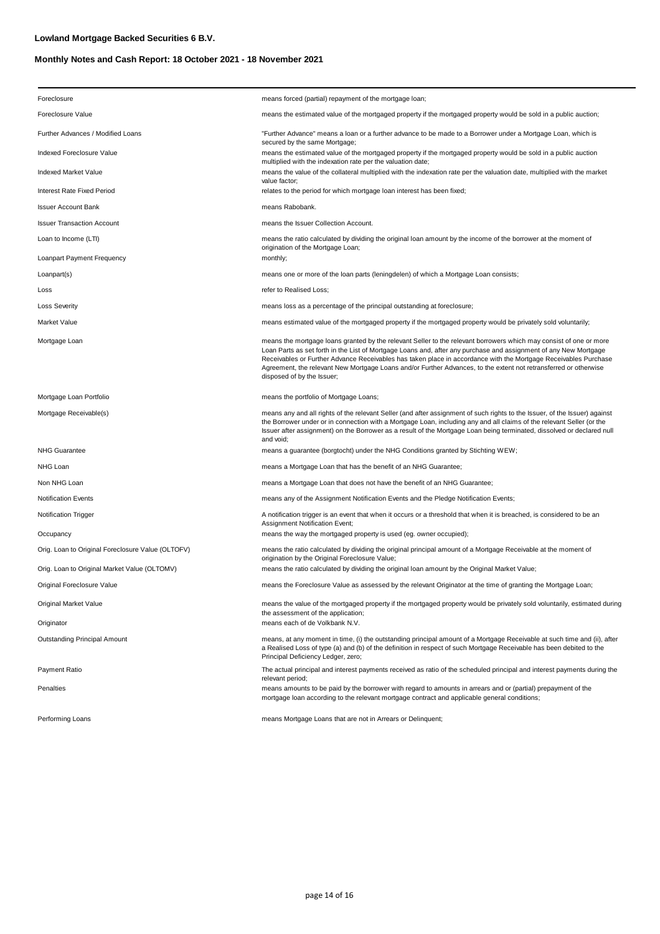| Foreclosure                                       | means forced (partial) repayment of the mortgage loan;                                                                                                                                                                                                                                                                                                                                                                                                                                                      |  |  |  |
|---------------------------------------------------|-------------------------------------------------------------------------------------------------------------------------------------------------------------------------------------------------------------------------------------------------------------------------------------------------------------------------------------------------------------------------------------------------------------------------------------------------------------------------------------------------------------|--|--|--|
| Foreclosure Value                                 | means the estimated value of the mortgaged property if the mortgaged property would be sold in a public auction;                                                                                                                                                                                                                                                                                                                                                                                            |  |  |  |
| Further Advances / Modified Loans                 | "Further Advance" means a loan or a further advance to be made to a Borrower under a Mortgage Loan, which is                                                                                                                                                                                                                                                                                                                                                                                                |  |  |  |
| Indexed Foreclosure Value                         | secured by the same Mortgage;<br>means the estimated value of the mortgaged property if the mortgaged property would be sold in a public auction<br>multiplied with the indexation rate per the valuation date;                                                                                                                                                                                                                                                                                             |  |  |  |
| Indexed Market Value                              | means the value of the collateral multiplied with the indexation rate per the valuation date, multiplied with the market                                                                                                                                                                                                                                                                                                                                                                                    |  |  |  |
| Interest Rate Fixed Period                        | value factor;<br>relates to the period for which mortgage loan interest has been fixed;                                                                                                                                                                                                                                                                                                                                                                                                                     |  |  |  |
| <b>Issuer Account Bank</b>                        | means Rabobank.                                                                                                                                                                                                                                                                                                                                                                                                                                                                                             |  |  |  |
| <b>Issuer Transaction Account</b>                 | means the Issuer Collection Account.                                                                                                                                                                                                                                                                                                                                                                                                                                                                        |  |  |  |
| Loan to Income (LTI)                              | means the ratio calculated by dividing the original loan amount by the income of the borrower at the moment of<br>origination of the Mortgage Loan;                                                                                                                                                                                                                                                                                                                                                         |  |  |  |
| Loanpart Payment Frequency                        | monthly;                                                                                                                                                                                                                                                                                                                                                                                                                                                                                                    |  |  |  |
| Loanpart(s)                                       | means one or more of the loan parts (leningdelen) of which a Mortgage Loan consists;                                                                                                                                                                                                                                                                                                                                                                                                                        |  |  |  |
| Loss                                              | refer to Realised Loss;                                                                                                                                                                                                                                                                                                                                                                                                                                                                                     |  |  |  |
| <b>Loss Severity</b>                              | means loss as a percentage of the principal outstanding at foreclosure;                                                                                                                                                                                                                                                                                                                                                                                                                                     |  |  |  |
| Market Value                                      | means estimated value of the mortgaged property if the mortgaged property would be privately sold voluntarily;                                                                                                                                                                                                                                                                                                                                                                                              |  |  |  |
| Mortgage Loan                                     | means the mortgage loans granted by the relevant Seller to the relevant borrowers which may consist of one or more<br>Loan Parts as set forth in the List of Mortgage Loans and, after any purchase and assignment of any New Mortgage<br>Receivables or Further Advance Receivables has taken place in accordance with the Mortgage Receivables Purchase<br>Agreement, the relevant New Mortgage Loans and/or Further Advances, to the extent not retransferred or otherwise<br>disposed of by the Issuer; |  |  |  |
| Mortgage Loan Portfolio                           | means the portfolio of Mortgage Loans;                                                                                                                                                                                                                                                                                                                                                                                                                                                                      |  |  |  |
| Mortgage Receivable(s)                            | means any and all rights of the relevant Seller (and after assignment of such rights to the Issuer, of the Issuer) against<br>the Borrower under or in connection with a Mortgage Loan, including any and all claims of the relevant Seller (or the<br>Issuer after assignment) on the Borrower as a result of the Mortgage Loan being terminated, dissolved or declared null<br>and void;                                                                                                                  |  |  |  |
| <b>NHG Guarantee</b>                              | means a guarantee (borgtocht) under the NHG Conditions granted by Stichting WEW;                                                                                                                                                                                                                                                                                                                                                                                                                            |  |  |  |
| NHG Loan                                          | means a Mortgage Loan that has the benefit of an NHG Guarantee;                                                                                                                                                                                                                                                                                                                                                                                                                                             |  |  |  |
| Non NHG Loan                                      | means a Mortgage Loan that does not have the benefit of an NHG Guarantee;                                                                                                                                                                                                                                                                                                                                                                                                                                   |  |  |  |
| <b>Notification Events</b>                        | means any of the Assignment Notification Events and the Pledge Notification Events;                                                                                                                                                                                                                                                                                                                                                                                                                         |  |  |  |
| <b>Notification Trigger</b>                       | A notification trigger is an event that when it occurs or a threshold that when it is breached, is considered to be an<br>Assignment Notification Event;                                                                                                                                                                                                                                                                                                                                                    |  |  |  |
| Occupancy                                         | means the way the mortgaged property is used (eg. owner occupied);                                                                                                                                                                                                                                                                                                                                                                                                                                          |  |  |  |
| Orig. Loan to Original Foreclosure Value (OLTOFV) | means the ratio calculated by dividing the original principal amount of a Mortgage Receivable at the moment of<br>origination by the Original Foreclosure Value;                                                                                                                                                                                                                                                                                                                                            |  |  |  |
| Orig. Loan to Original Market Value (OLTOMV)      | means the ratio calculated by dividing the original loan amount by the Original Market Value;                                                                                                                                                                                                                                                                                                                                                                                                               |  |  |  |
| Original Foreclosure Value                        | means the Foreclosure Value as assessed by the relevant Originator at the time of granting the Mortgage Loan;                                                                                                                                                                                                                                                                                                                                                                                               |  |  |  |
| Original Market Value                             | means the value of the mortgaged property if the mortgaged property would be privately sold voluntarily, estimated during<br>the assessment of the application;                                                                                                                                                                                                                                                                                                                                             |  |  |  |
| Originator                                        | means each of de Volkbank N.V.                                                                                                                                                                                                                                                                                                                                                                                                                                                                              |  |  |  |
| Outstanding Principal Amount                      | means, at any moment in time, (i) the outstanding principal amount of a Mortgage Receivable at such time and (ii), after<br>a Realised Loss of type (a) and (b) of the definition in respect of such Mortgage Receivable has been debited to the<br>Principal Deficiency Ledger, zero;                                                                                                                                                                                                                      |  |  |  |
| Payment Ratio                                     | The actual principal and interest payments received as ratio of the scheduled principal and interest payments during the<br>relevant period;                                                                                                                                                                                                                                                                                                                                                                |  |  |  |
| Penalties                                         | means amounts to be paid by the borrower with regard to amounts in arrears and or (partial) prepayment of the<br>mortgage loan according to the relevant mortgage contract and applicable general conditions;                                                                                                                                                                                                                                                                                               |  |  |  |
|                                                   |                                                                                                                                                                                                                                                                                                                                                                                                                                                                                                             |  |  |  |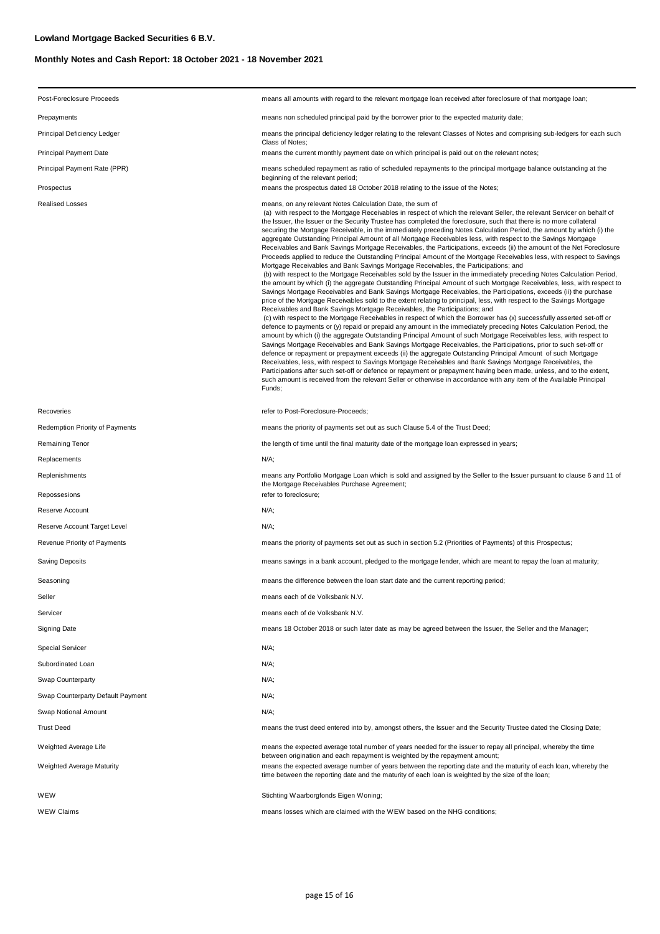| Post-Foreclosure Proceeds         | means all amounts with regard to the relevant mortgage loan received after foreclosure of that mortgage loan;                                                                                                                                                                                                                                                                                                                                                                                                                                                                                                                                                                                                                                                                                                                                                                                                                                                                                                                                                                                                                                                                                                                                                                                                                                                                                                                                                                                                                                                                                                                                                                                                                                                                                                                                                                                                                                                                                                                                                                                                                                                                                                                                                                                                                                                                                                                                                   |  |  |  |
|-----------------------------------|-----------------------------------------------------------------------------------------------------------------------------------------------------------------------------------------------------------------------------------------------------------------------------------------------------------------------------------------------------------------------------------------------------------------------------------------------------------------------------------------------------------------------------------------------------------------------------------------------------------------------------------------------------------------------------------------------------------------------------------------------------------------------------------------------------------------------------------------------------------------------------------------------------------------------------------------------------------------------------------------------------------------------------------------------------------------------------------------------------------------------------------------------------------------------------------------------------------------------------------------------------------------------------------------------------------------------------------------------------------------------------------------------------------------------------------------------------------------------------------------------------------------------------------------------------------------------------------------------------------------------------------------------------------------------------------------------------------------------------------------------------------------------------------------------------------------------------------------------------------------------------------------------------------------------------------------------------------------------------------------------------------------------------------------------------------------------------------------------------------------------------------------------------------------------------------------------------------------------------------------------------------------------------------------------------------------------------------------------------------------------------------------------------------------------------------------------------------------|--|--|--|
| Prepayments                       | means non scheduled principal paid by the borrower prior to the expected maturity date;                                                                                                                                                                                                                                                                                                                                                                                                                                                                                                                                                                                                                                                                                                                                                                                                                                                                                                                                                                                                                                                                                                                                                                                                                                                                                                                                                                                                                                                                                                                                                                                                                                                                                                                                                                                                                                                                                                                                                                                                                                                                                                                                                                                                                                                                                                                                                                         |  |  |  |
| Principal Deficiency Ledger       | means the principal deficiency ledger relating to the relevant Classes of Notes and comprising sub-ledgers for each such<br>Class of Notes;                                                                                                                                                                                                                                                                                                                                                                                                                                                                                                                                                                                                                                                                                                                                                                                                                                                                                                                                                                                                                                                                                                                                                                                                                                                                                                                                                                                                                                                                                                                                                                                                                                                                                                                                                                                                                                                                                                                                                                                                                                                                                                                                                                                                                                                                                                                     |  |  |  |
| Principal Payment Date            | means the current monthly payment date on which principal is paid out on the relevant notes;                                                                                                                                                                                                                                                                                                                                                                                                                                                                                                                                                                                                                                                                                                                                                                                                                                                                                                                                                                                                                                                                                                                                                                                                                                                                                                                                                                                                                                                                                                                                                                                                                                                                                                                                                                                                                                                                                                                                                                                                                                                                                                                                                                                                                                                                                                                                                                    |  |  |  |
| Principal Payment Rate (PPR)      | means scheduled repayment as ratio of scheduled repayments to the principal mortgage balance outstanding at the<br>beginning of the relevant period;                                                                                                                                                                                                                                                                                                                                                                                                                                                                                                                                                                                                                                                                                                                                                                                                                                                                                                                                                                                                                                                                                                                                                                                                                                                                                                                                                                                                                                                                                                                                                                                                                                                                                                                                                                                                                                                                                                                                                                                                                                                                                                                                                                                                                                                                                                            |  |  |  |
| Prospectus                        | means the prospectus dated 18 October 2018 relating to the issue of the Notes;                                                                                                                                                                                                                                                                                                                                                                                                                                                                                                                                                                                                                                                                                                                                                                                                                                                                                                                                                                                                                                                                                                                                                                                                                                                                                                                                                                                                                                                                                                                                                                                                                                                                                                                                                                                                                                                                                                                                                                                                                                                                                                                                                                                                                                                                                                                                                                                  |  |  |  |
| <b>Realised Losses</b>            | means, on any relevant Notes Calculation Date, the sum of<br>(a) with respect to the Mortgage Receivables in respect of which the relevant Seller, the relevant Servicer on behalf of<br>the Issuer, the Issuer or the Security Trustee has completed the foreclosure, such that there is no more collateral<br>securing the Mortgage Receivable, in the immediately preceding Notes Calculation Period, the amount by which (i) the<br>aggregate Outstanding Principal Amount of all Mortgage Receivables less, with respect to the Savings Mortgage<br>Receivables and Bank Savings Mortgage Receivables, the Participations, exceeds (ii) the amount of the Net Foreclosure<br>Proceeds applied to reduce the Outstanding Principal Amount of the Mortgage Receivables less, with respect to Savings<br>Mortgage Receivables and Bank Savings Mortgage Receivables, the Participations; and<br>(b) with respect to the Mortgage Receivables sold by the Issuer in the immediately preceding Notes Calculation Period,<br>the amount by which (i) the aggregate Outstanding Principal Amount of such Mortgage Receivables, less, with respect to<br>Savings Mortgage Receivables and Bank Savings Mortgage Receivables, the Participations, exceeds (ii) the purchase<br>price of the Mortgage Receivables sold to the extent relating to principal, less, with respect to the Savings Mortgage<br>Receivables and Bank Savings Mortgage Receivables, the Participations; and<br>(c) with respect to the Mortgage Receivables in respect of which the Borrower has (x) successfully asserted set-off or<br>defence to payments or (y) repaid or prepaid any amount in the immediately preceding Notes Calculation Period, the<br>amount by which (i) the aggregate Outstanding Principal Amount of such Mortgage Receivables less, with respect to<br>Savings Mortgage Receivables and Bank Savings Mortgage Receivables, the Participations, prior to such set-off or<br>defence or repayment or prepayment exceeds (ii) the aggregate Outstanding Principal Amount of such Mortgage<br>Receivables, less, with respect to Savings Mortgage Receivables and Bank Savings Mortgage Receivables, the<br>Participations after such set-off or defence or repayment or prepayment having been made, unless, and to the extent,<br>such amount is received from the relevant Seller or otherwise in accordance with any item of the Available Principal<br>Funds; |  |  |  |
| Recoveries                        | refer to Post-Foreclosure-Proceeds;                                                                                                                                                                                                                                                                                                                                                                                                                                                                                                                                                                                                                                                                                                                                                                                                                                                                                                                                                                                                                                                                                                                                                                                                                                                                                                                                                                                                                                                                                                                                                                                                                                                                                                                                                                                                                                                                                                                                                                                                                                                                                                                                                                                                                                                                                                                                                                                                                             |  |  |  |
| Redemption Priority of Payments   | means the priority of payments set out as such Clause 5.4 of the Trust Deed;                                                                                                                                                                                                                                                                                                                                                                                                                                                                                                                                                                                                                                                                                                                                                                                                                                                                                                                                                                                                                                                                                                                                                                                                                                                                                                                                                                                                                                                                                                                                                                                                                                                                                                                                                                                                                                                                                                                                                                                                                                                                                                                                                                                                                                                                                                                                                                                    |  |  |  |
| Remaining Tenor                   | the length of time until the final maturity date of the mortgage loan expressed in years;                                                                                                                                                                                                                                                                                                                                                                                                                                                                                                                                                                                                                                                                                                                                                                                                                                                                                                                                                                                                                                                                                                                                                                                                                                                                                                                                                                                                                                                                                                                                                                                                                                                                                                                                                                                                                                                                                                                                                                                                                                                                                                                                                                                                                                                                                                                                                                       |  |  |  |
| Replacements                      | N/A;                                                                                                                                                                                                                                                                                                                                                                                                                                                                                                                                                                                                                                                                                                                                                                                                                                                                                                                                                                                                                                                                                                                                                                                                                                                                                                                                                                                                                                                                                                                                                                                                                                                                                                                                                                                                                                                                                                                                                                                                                                                                                                                                                                                                                                                                                                                                                                                                                                                            |  |  |  |
| Replenishments                    | means any Portfolio Mortgage Loan which is sold and assigned by the Seller to the Issuer pursuant to clause 6 and 11 of<br>the Mortgage Receivables Purchase Agreement;                                                                                                                                                                                                                                                                                                                                                                                                                                                                                                                                                                                                                                                                                                                                                                                                                                                                                                                                                                                                                                                                                                                                                                                                                                                                                                                                                                                                                                                                                                                                                                                                                                                                                                                                                                                                                                                                                                                                                                                                                                                                                                                                                                                                                                                                                         |  |  |  |
| Repossesions                      | refer to foreclosure;                                                                                                                                                                                                                                                                                                                                                                                                                                                                                                                                                                                                                                                                                                                                                                                                                                                                                                                                                                                                                                                                                                                                                                                                                                                                                                                                                                                                                                                                                                                                                                                                                                                                                                                                                                                                                                                                                                                                                                                                                                                                                                                                                                                                                                                                                                                                                                                                                                           |  |  |  |
| Reserve Account                   | N/A;                                                                                                                                                                                                                                                                                                                                                                                                                                                                                                                                                                                                                                                                                                                                                                                                                                                                                                                                                                                                                                                                                                                                                                                                                                                                                                                                                                                                                                                                                                                                                                                                                                                                                                                                                                                                                                                                                                                                                                                                                                                                                                                                                                                                                                                                                                                                                                                                                                                            |  |  |  |
| Reserve Account Target Level      | $N/A$ ;                                                                                                                                                                                                                                                                                                                                                                                                                                                                                                                                                                                                                                                                                                                                                                                                                                                                                                                                                                                                                                                                                                                                                                                                                                                                                                                                                                                                                                                                                                                                                                                                                                                                                                                                                                                                                                                                                                                                                                                                                                                                                                                                                                                                                                                                                                                                                                                                                                                         |  |  |  |
| Revenue Priority of Payments      | means the priority of payments set out as such in section 5.2 (Priorities of Payments) of this Prospectus;                                                                                                                                                                                                                                                                                                                                                                                                                                                                                                                                                                                                                                                                                                                                                                                                                                                                                                                                                                                                                                                                                                                                                                                                                                                                                                                                                                                                                                                                                                                                                                                                                                                                                                                                                                                                                                                                                                                                                                                                                                                                                                                                                                                                                                                                                                                                                      |  |  |  |
| Saving Deposits                   | means savings in a bank account, pledged to the mortgage lender, which are meant to repay the loan at maturity;                                                                                                                                                                                                                                                                                                                                                                                                                                                                                                                                                                                                                                                                                                                                                                                                                                                                                                                                                                                                                                                                                                                                                                                                                                                                                                                                                                                                                                                                                                                                                                                                                                                                                                                                                                                                                                                                                                                                                                                                                                                                                                                                                                                                                                                                                                                                                 |  |  |  |
| Seasoning                         | means the difference between the loan start date and the current reporting period;                                                                                                                                                                                                                                                                                                                                                                                                                                                                                                                                                                                                                                                                                                                                                                                                                                                                                                                                                                                                                                                                                                                                                                                                                                                                                                                                                                                                                                                                                                                                                                                                                                                                                                                                                                                                                                                                                                                                                                                                                                                                                                                                                                                                                                                                                                                                                                              |  |  |  |
| Seller                            | means each of de Volksbank N.V.                                                                                                                                                                                                                                                                                                                                                                                                                                                                                                                                                                                                                                                                                                                                                                                                                                                                                                                                                                                                                                                                                                                                                                                                                                                                                                                                                                                                                                                                                                                                                                                                                                                                                                                                                                                                                                                                                                                                                                                                                                                                                                                                                                                                                                                                                                                                                                                                                                 |  |  |  |
| Servicer                          | means each of de Volksbank N.V.                                                                                                                                                                                                                                                                                                                                                                                                                                                                                                                                                                                                                                                                                                                                                                                                                                                                                                                                                                                                                                                                                                                                                                                                                                                                                                                                                                                                                                                                                                                                                                                                                                                                                                                                                                                                                                                                                                                                                                                                                                                                                                                                                                                                                                                                                                                                                                                                                                 |  |  |  |
| Signing Date                      | means 18 October 2018 or such later date as may be agreed between the Issuer, the Seller and the Manager;                                                                                                                                                                                                                                                                                                                                                                                                                                                                                                                                                                                                                                                                                                                                                                                                                                                                                                                                                                                                                                                                                                                                                                                                                                                                                                                                                                                                                                                                                                                                                                                                                                                                                                                                                                                                                                                                                                                                                                                                                                                                                                                                                                                                                                                                                                                                                       |  |  |  |
| Special Servicer                  | N/A;                                                                                                                                                                                                                                                                                                                                                                                                                                                                                                                                                                                                                                                                                                                                                                                                                                                                                                                                                                                                                                                                                                                                                                                                                                                                                                                                                                                                                                                                                                                                                                                                                                                                                                                                                                                                                                                                                                                                                                                                                                                                                                                                                                                                                                                                                                                                                                                                                                                            |  |  |  |
| Subordinated Loan                 | N/A;                                                                                                                                                                                                                                                                                                                                                                                                                                                                                                                                                                                                                                                                                                                                                                                                                                                                                                                                                                                                                                                                                                                                                                                                                                                                                                                                                                                                                                                                                                                                                                                                                                                                                                                                                                                                                                                                                                                                                                                                                                                                                                                                                                                                                                                                                                                                                                                                                                                            |  |  |  |
| Swap Counterparty                 | N/A;                                                                                                                                                                                                                                                                                                                                                                                                                                                                                                                                                                                                                                                                                                                                                                                                                                                                                                                                                                                                                                                                                                                                                                                                                                                                                                                                                                                                                                                                                                                                                                                                                                                                                                                                                                                                                                                                                                                                                                                                                                                                                                                                                                                                                                                                                                                                                                                                                                                            |  |  |  |
| Swap Counterparty Default Payment | N/A;                                                                                                                                                                                                                                                                                                                                                                                                                                                                                                                                                                                                                                                                                                                                                                                                                                                                                                                                                                                                                                                                                                                                                                                                                                                                                                                                                                                                                                                                                                                                                                                                                                                                                                                                                                                                                                                                                                                                                                                                                                                                                                                                                                                                                                                                                                                                                                                                                                                            |  |  |  |
| Swap Notional Amount              | N/A;                                                                                                                                                                                                                                                                                                                                                                                                                                                                                                                                                                                                                                                                                                                                                                                                                                                                                                                                                                                                                                                                                                                                                                                                                                                                                                                                                                                                                                                                                                                                                                                                                                                                                                                                                                                                                                                                                                                                                                                                                                                                                                                                                                                                                                                                                                                                                                                                                                                            |  |  |  |
| Trust Deed                        | means the trust deed entered into by, amongst others, the Issuer and the Security Trustee dated the Closing Date;                                                                                                                                                                                                                                                                                                                                                                                                                                                                                                                                                                                                                                                                                                                                                                                                                                                                                                                                                                                                                                                                                                                                                                                                                                                                                                                                                                                                                                                                                                                                                                                                                                                                                                                                                                                                                                                                                                                                                                                                                                                                                                                                                                                                                                                                                                                                               |  |  |  |
| Weighted Average Life             | means the expected average total number of years needed for the issuer to repay all principal, whereby the time<br>between origination and each repayment is weighted by the repayment amount;                                                                                                                                                                                                                                                                                                                                                                                                                                                                                                                                                                                                                                                                                                                                                                                                                                                                                                                                                                                                                                                                                                                                                                                                                                                                                                                                                                                                                                                                                                                                                                                                                                                                                                                                                                                                                                                                                                                                                                                                                                                                                                                                                                                                                                                                  |  |  |  |
| Weighted Average Maturity         | means the expected average number of years between the reporting date and the maturity of each loan, whereby the<br>time between the reporting date and the maturity of each loan is weighted by the size of the loan;                                                                                                                                                                                                                                                                                                                                                                                                                                                                                                                                                                                                                                                                                                                                                                                                                                                                                                                                                                                                                                                                                                                                                                                                                                                                                                                                                                                                                                                                                                                                                                                                                                                                                                                                                                                                                                                                                                                                                                                                                                                                                                                                                                                                                                          |  |  |  |
| WEW                               | Stichting Waarborgfonds Eigen Woning;                                                                                                                                                                                                                                                                                                                                                                                                                                                                                                                                                                                                                                                                                                                                                                                                                                                                                                                                                                                                                                                                                                                                                                                                                                                                                                                                                                                                                                                                                                                                                                                                                                                                                                                                                                                                                                                                                                                                                                                                                                                                                                                                                                                                                                                                                                                                                                                                                           |  |  |  |
| WEW Claims                        | means losses which are claimed with the WEW based on the NHG conditions;                                                                                                                                                                                                                                                                                                                                                                                                                                                                                                                                                                                                                                                                                                                                                                                                                                                                                                                                                                                                                                                                                                                                                                                                                                                                                                                                                                                                                                                                                                                                                                                                                                                                                                                                                                                                                                                                                                                                                                                                                                                                                                                                                                                                                                                                                                                                                                                        |  |  |  |
|                                   |                                                                                                                                                                                                                                                                                                                                                                                                                                                                                                                                                                                                                                                                                                                                                                                                                                                                                                                                                                                                                                                                                                                                                                                                                                                                                                                                                                                                                                                                                                                                                                                                                                                                                                                                                                                                                                                                                                                                                                                                                                                                                                                                                                                                                                                                                                                                                                                                                                                                 |  |  |  |